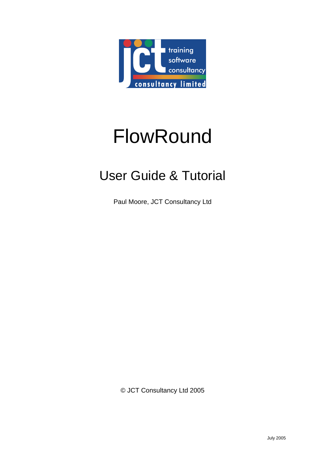

# FlowRound

# User Guide & Tutorial

Paul Moore, JCT Consultancy Ltd

© JCT Consultancy Ltd 2005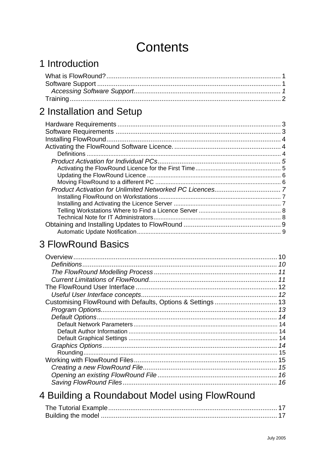# **Contents**

# 1 Introduction

# 2 Installation and Setup

# **3 FlowRound Basics**

| 16 |
|----|
|    |

# 4 Building a Roundabout Model using FlowRound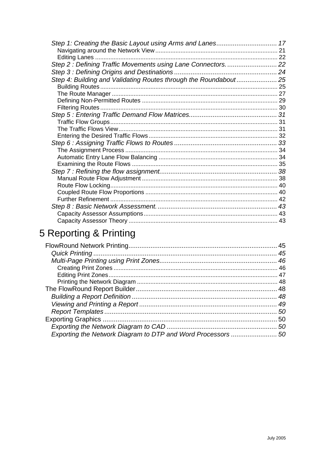| Step 1: Creating the Basic Layout using Arms and Lanes 17         |  |
|-------------------------------------------------------------------|--|
|                                                                   |  |
|                                                                   |  |
| Step 2: Defining Traffic Movements using Lane Connectors.  22     |  |
|                                                                   |  |
| Step 4: Building and Validating Routes through the Roundabout  25 |  |
|                                                                   |  |
|                                                                   |  |
|                                                                   |  |
|                                                                   |  |
|                                                                   |  |
|                                                                   |  |
|                                                                   |  |
|                                                                   |  |
|                                                                   |  |
|                                                                   |  |
|                                                                   |  |
|                                                                   |  |
|                                                                   |  |
|                                                                   |  |
|                                                                   |  |
|                                                                   |  |
|                                                                   |  |
|                                                                   |  |
|                                                                   |  |
|                                                                   |  |

# 5 Reporting & Printing

| Exporting the Network Diagram to DTP and Word Processors  50 |  |
|--------------------------------------------------------------|--|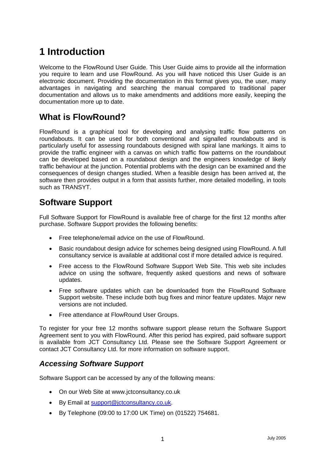# <span id="page-3-0"></span>**1 Introduction**

Welcome to the FlowRound User Guide. This User Guide aims to provide all the information you require to learn and use FlowRound. As you will have noticed this User Guide is an electronic document. Providing the documentation in this format gives you, the user, many advantages in navigating and searching the manual compared to traditional paper documentation and allows us to make amendments and additions more easily, keeping the documentation more up to date.

# **What is FlowRound?**

FlowRound is a graphical tool for developing and analysing traffic flow patterns on roundabouts. It can be used for both conventional and signalled roundabouts and is particularly useful for assessing roundabouts designed with spiral lane markings. It aims to provide the traffic engineer with a canvas on which traffic flow patterns on the roundabout can be developed based on a roundabout design and the engineers knowledge of likely traffic behaviour at the junction. Potential problems with the design can be examined and the consequences of design changes studied. When a feasible design has been arrived at, the software then provides output in a form that assists further, more detailed modelling, in tools such as TRANSYT.

# **Software Support**

Full Software Support for FlowRound is available free of charge for the first 12 months after purchase. Software Support provides the following benefits:

- Free telephone/email advice on the use of FlowRound.
- Basic roundabout design advice for schemes being designed using FlowRound. A full consultancy service is available at additional cost if more detailed advice is required.
- Free access to the FlowRound Software Support Web Site. This web site includes advice on using the software, frequently asked questions and news of software updates.
- Free software updates which can be downloaded from the FlowRound Software Support website. These include both bug fixes and minor feature updates. Major new versions are not included.
- Free attendance at FlowRound User Groups.

To register for your free 12 months software support please return the Software Support Agreement sent to you with FlowRound. After this period has expired, paid software support is available from JCT Consultancy Ltd. Please see the Software Support Agreement or contact JCT Consultancy Ltd. for more information on software support.

# *Accessing Software Support*

Software Support can be accessed by any of the following means:

- On our Web Site at www.jctconsultancy.co.uk
- By Email at [support@jctconsultancy.co.uk.](mailto:support@jctconsultancy.co.uk)
- By Telephone (09:00 to 17:00 UK Time) on (01522) 754681.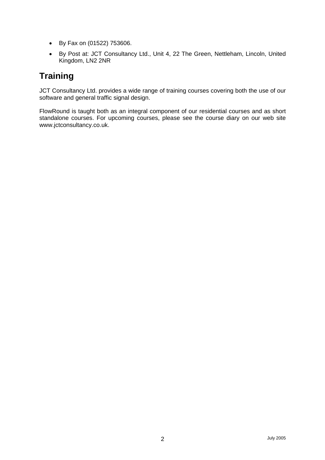- <span id="page-4-0"></span>• By Fax on (01522) 753606.
- By Post at: JCT Consultancy Ltd., Unit 4, 22 The Green, Nettleham, Lincoln, United Kingdom, LN2 2NR

# **Training**

JCT Consultancy Ltd. provides a wide range of training courses covering both the use of our software and general traffic signal design.

FlowRound is taught both as an integral component of our residential courses and as short standalone courses. For upcoming courses, please see the course diary on our web site www.jctconsultancy.co.uk.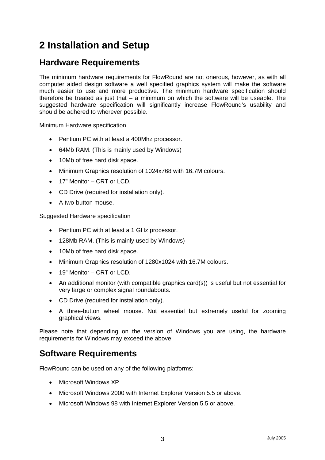# <span id="page-5-0"></span>**2 Installation and Setup**

# **Hardware Requirements**

The minimum hardware requirements for FlowRound are not onerous, however, as with all computer aided design software a well specified graphics system will make the software much easier to use and more productive. The minimum hardware specification should therefore be treated as just that – a minimum on which the software will be useable. The suggested hardware specification will significantly increase FlowRound's usability and should be adhered to wherever possible.

Minimum Hardware specification

- Pentium PC with at least a 400Mhz processor.
- 64Mb RAM. (This is mainly used by Windows)
- 10Mb of free hard disk space.
- Minimum Graphics resolution of 1024x768 with 16.7M colours.
- 17" Monitor CRT or LCD.
- CD Drive (required for installation only).
- A two-button mouse.

Suggested Hardware specification

- Pentium PC with at least a 1 GHz processor.
- 128Mb RAM. (This is mainly used by Windows)
- 10Mb of free hard disk space.
- Minimum Graphics resolution of 1280x1024 with 16.7M colours.
- 19" Monitor CRT or LCD.
- An additional monitor (with compatible graphics card(s)) is useful but not essential for very large or complex signal roundabouts.
- CD Drive (required for installation only).
- A three-button wheel mouse. Not essential but extremely useful for zooming graphical views.

Please note that depending on the version of Windows you are using, the hardware requirements for Windows may exceed the above.

# **Software Requirements**

FlowRound can be used on any of the following platforms:

- Microsoft Windows XP
- Microsoft Windows 2000 with Internet Explorer Version 5.5 or above.
- Microsoft Windows 98 with Internet Explorer Version 5.5 or above.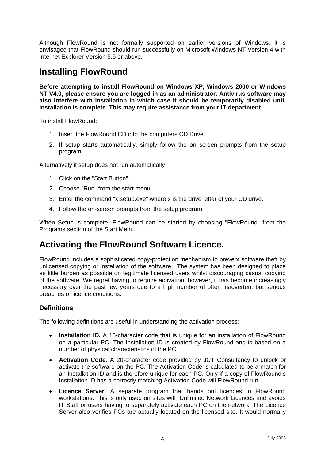<span id="page-6-0"></span>Although FlowRound is not formally supported on earlier versions of Windows, it is envisaged that FlowRound should run successfully on Microsoft Windows NT Version 4 with Internet Explorer Version 5.5 or above.

# **Installing FlowRound**

**Before attempting to install FlowRound on Windows XP, Windows 2000 or Windows NT V4.0, please ensure you are logged in as an administrator. Antivirus software may also interfere with installation in which case it should be temporarily disabled until installation is complete. This may require assistance from your IT department.** 

To install FlowRound:

- 1. Insert the FlowRound CD into the computers CD Drive.
- 2. If setup starts automatically, simply follow the on screen prompts from the setup program.

Alternatively if setup does not run automatically

- 1. Click on the "Start Button".
- 2. Choose "Run" from the start menu.
- 3. Enter the command "x:setup.exe" where x is the drive letter of your CD drive.
- 4. Follow the on-screen prompts from the setup program.

When Setup is complete, FlowRound can be started by choosing "FlowRound" from the Programs section of the Start Menu.

# **Activating the FlowRound Software Licence.**

FlowRound includes a sophisticated copy-protection mechanism to prevent software theft by unlicensed copying or installation of the software. The system has been designed to place as little burden as possible on legitimate licensed users whilst discouraging casual copying of the software. We regret having to require activation; however, it has become increasingly necessary over the past few years due to a high number of often inadvertent but serious breaches of licence conditions.

#### **Definitions**

The following definitions are useful in understanding the activation process:

- **Installation ID.** A 16-character code that is unique for an installation of FlowRound on a particular PC. The Installation ID is created by FlowRound and is based on a number of physical characteristics of the PC.
- **Activation Code.** A 20-character code provided by JCT Consultancy to unlock or activate the software on the PC. The Activation Code is calculated to be a match for an Installation ID and is therefore unique for each PC. Only if a copy of FlowRound's Installation ID has a correctly matching Activation Code will FlowRound run.
- **Licence Server.** A separate program that hands out licences to FlowRound workstations. This is only used on sites with Unlimited Network Licences and avoids IT Staff or users having to separately activate each PC on the network. The Licence Server also verifies PCs are actually located on the licensed site. It would normally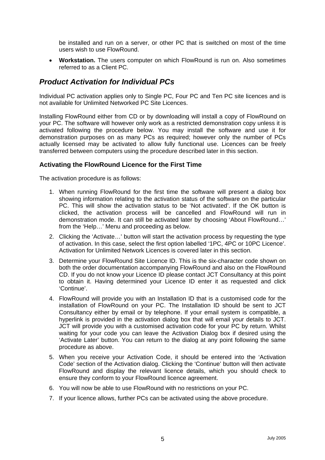<span id="page-7-0"></span>be installed and run on a server, or other PC that is switched on most of the time users wish to use FlowRound.

• **Workstation.** The users computer on which FlowRound is run on. Also sometimes referred to as a Client PC.

# *Product Activation for Individual PCs*

Individual PC activation applies only to Single PC, Four PC and Ten PC site licences and is not available for Unlimited Networked PC Site Licences.

Installing FlowRound either from CD or by downloading will install a copy of FlowRound on your PC. The software will however only work as a restricted demonstration copy unless it is activated following the procedure below. You may install the software and use it for demonstration purposes on as many PCs as required; however only the number of PCs actually licensed may be activated to allow fully functional use. Licences can be freely transferred between computers using the procedure described later in this section.

#### **Activating the FlowRound Licence for the First Time**

The activation procedure is as follows:

- 1. When running FlowRound for the first time the software will present a dialog box showing information relating to the activation status of the software on the particular PC. This will show the activation status to be 'Not activated'. If the OK button is clicked, the activation process will be cancelled and FlowRound will run in demonstration mode. It can still be activated later by choosing 'About FlowRound…' from the 'Help…' Menu and proceeding as below.
- 2. Clicking the 'Activate…' button will start the activation process by requesting the type of activation. In this case, select the first option labelled '1PC, 4PC or 10PC Licence'. Activation for Unlimited Network Licences is covered later in this section.
- 3. Determine your FlowRound Site Licence ID. This is the six-character code shown on both the order documentation accompanying FlowRound and also on the FlowRound CD. If you do not know your Licence ID please contact JCT Consultancy at this point to obtain it. Having determined your Licence ID enter it as requested and click 'Continue'.
- 4. FlowRound will provide you with an Installation ID that is a customised code for the installation of FlowRound on your PC. The Installation ID should be sent to JCT Consultancy either by email or by telephone. If your email system is compatible, a hyperlink is provided in the activation dialog box that will email your details to JCT. JCT will provide you with a customised activation code for your PC by return. Whilst waiting for your code you can leave the Activation Dialog box if desired using the 'Activate Later' button. You can return to the dialog at any point following the same procedure as above.
- 5. When you receive your Activation Code, it should be entered into the 'Activation Code' section of the Activation dialog. Clicking the 'Continue' button will then activate FlowRound and display the relevant licence details, which you should check to ensure they conform to your FlowRound licence agreement.
- 6. You will now be able to use FlowRound with no restrictions on your PC.
- 7. If your licence allows, further PCs can be activated using the above procedure.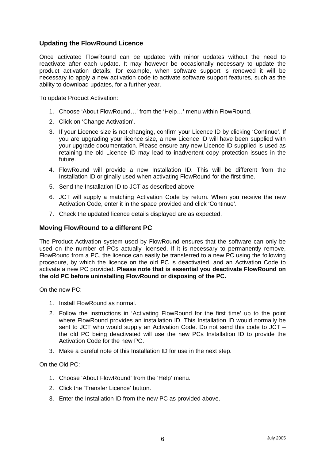#### <span id="page-8-0"></span>**Updating the FlowRound Licence**

Once activated FlowRound can be updated with minor updates without the need to reactivate after each update. It may however be occasionally necessary to update the product activation details; for example, when software support is renewed it will be necessary to apply a new activation code to activate software support features, such as the ability to download updates, for a further year.

To update Product Activation:

- 1. Choose 'About FlowRound…' from the 'Help…' menu within FlowRound.
- 2. Click on 'Change Activation'.
- 3. If your Licence size is not changing, confirm your Licence ID by clicking 'Continue'. If you are upgrading your licence size, a new Licence ID will have been supplied with your upgrade documentation. Please ensure any new Licence ID supplied is used as retaining the old Licence ID may lead to inadvertent copy protection issues in the future.
- 4. FlowRound will provide a new Installation ID. This will be different from the Installation ID originally used when activating FlowRound for the first time.
- 5. Send the Installation ID to JCT as described above.
- 6. JCT will supply a matching Activation Code by return. When you receive the new Activation Code, enter it in the space provided and click 'Continue'.
- 7. Check the updated licence details displayed are as expected.

#### **Moving FlowRound to a different PC**

The Product Activation system used by FlowRound ensures that the software can only be used on the number of PCs actually licensed. If it is necessary to permanently remove, FlowRound from a PC, the licence can easily be transferred to a new PC using the following procedure, by which the licence on the old PC is deactivated, and an Activation Code to activate a new PC provided. **Please note that is essential you deactivate FlowRound on the old PC before uninstalling FlowRound or disposing of the PC.** 

On the new PC:

- 1. Install FlowRound as normal.
- 2. Follow the instructions in 'Activating FlowRound for the first time' up to the point where FlowRound provides an installation ID. This Installation ID would normally be sent to JCT who would supply an Activation Code. Do not send this code to JCT – the old PC being deactivated will use the new PCs Installation ID to provide the Activation Code for the new PC.
- 3. Make a careful note of this Installation ID for use in the next step.

On the Old PC:

- 1. Choose 'About FlowRound' from the 'Help' menu.
- 2. Click the 'Transfer Licence' button.
- 3. Enter the Installation ID from the new PC as provided above.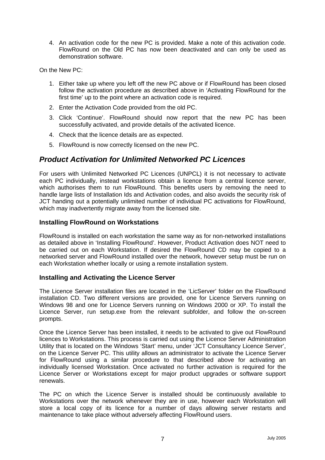<span id="page-9-0"></span>4. An activation code for the new PC is provided. Make a note of this activation code. FlowRound on the Old PC has now been deactivated and can only be used as demonstration software.

On the New PC:

- 1. Either take up where you left off the new PC above or if FlowRound has been closed follow the activation procedure as described above in 'Activating FlowRound for the first time' up to the point where an activation code is required.
- 2. Enter the Activation Code provided from the old PC.
- 3. Click 'Continue'. FlowRound should now report that the new PC has been successfully activated, and provide details of the activated licence.
- 4. Check that the licence details are as expected.
- 5. FlowRound is now correctly licensed on the new PC.

# *Product Activation for Unlimited Networked PC Licences*

For users with Unlimited Networked PC Licences (UNPCL) it is not necessary to activate each PC individually, instead workstations obtain a licence from a central licence server, which authorises them to run FlowRound. This benefits users by removing the need to handle large lists of Installation Ids and Activation codes, and also avoids the security risk of JCT handing out a potentially unlimited number of individual PC activations for FlowRound, which may inadvertently migrate away from the licensed site.

### **Installing FlowRound on Workstations**

FlowRound is installed on each workstation the same way as for non-networked installations as detailed above in 'Installing FlowRound'. However, Product Activation does NOT need to be carried out on each Workstation. If desired the FlowRound CD may be copied to a networked server and FlowRound installed over the network, however setup must be run on each Workstation whether locally or using a remote installation system.

#### **Installing and Activating the Licence Server**

The Licence Server installation files are located in the 'LicServer' folder on the FlowRound installation CD. Two different versions are provided, one for Licence Servers running on Windows 98 and one for Licence Servers running on Windows 2000 or XP. To install the Licence Server, run setup.exe from the relevant subfolder, and follow the on-screen prompts.

Once the Licence Server has been installed, it needs to be activated to give out FlowRound licences to Workstations. This process is carried out using the Licence Server Administration Utility that is located on the Windows 'Start' menu, under 'JCT Consultancy Licence Server', on the Licence Server PC. This utility allows an administrator to activate the Licence Server for FlowRound using a similar procedure to that described above for activating an individually licensed Workstation. Once activated no further activation is required for the Licence Server or Workstations except for major product upgrades or software support renewals.

The PC on which the Licence Server is installed should be continuously available to Workstations over the network whenever they are in use, however each Workstation will store a local copy of its licence for a number of days allowing server restarts and maintenance to take place without adversely affecting FlowRound users.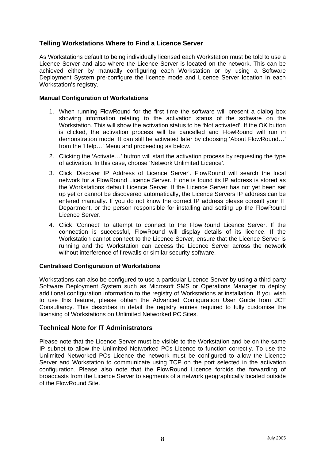### <span id="page-10-0"></span>**Telling Workstations Where to Find a Licence Server**

As Workstations default to being individually licensed each Workstation must be told to use a Licence Server and also where the Licence Server is located on the network. This can be achieved either by manually configuring each Workstation or by using a Software Deployment System pre-configure the licence mode and Licence Server location in each Workstation's registry.

#### **Manual Configuration of Workstations**

- 1. When running FlowRound for the first time the software will present a dialog box showing information relating to the activation status of the software on the Workstation. This will show the activation status to be 'Not activated'. If the OK button is clicked, the activation process will be cancelled and FlowRound will run in demonstration mode. It can still be activated later by choosing 'About FlowRound…' from the 'Help…' Menu and proceeding as below.
- 2. Clicking the 'Activate…' button will start the activation process by requesting the type of activation. In this case, choose 'Network Unlimited Licence'.
- 3. Click 'Discover IP Address of Licence Server'. FlowRound will search the local network for a FlowRound Licence Server. If one is found its IP address is stored as the Workstations default Licence Server. If the Licence Server has not yet been set up yet or cannot be discovered automatically, the Licence Servers IP address can be entered manually. If you do not know the correct IP address please consult your IT Department, or the person responsible for installing and setting up the FlowRound Licence Server.
- 4. Click 'Connect' to attempt to connect to the FlowRound Licence Server. If the connection is successful, FlowRound will display details of its licence. If the Workstation cannot connect to the Licence Server, ensure that the Licence Server is running and the Workstation can access the Licence Server across the network without interference of firewalls or similar security software.

#### **Centralised Configuration of Workstations**

Workstations can also be configured to use a particular Licence Server by using a third party Software Deployment System such as Microsoft SMS or Operations Manager to deploy additional configuration information to the registry of Workstations at installation. If you wish to use this feature, please obtain the Advanced Configuration User Guide from JCT Consultancy. This describes in detail the registry entries required to fully customise the licensing of Workstations on Unlimited Networked PC Sites.

#### **Technical Note for IT Administrators**

Please note that the Licence Server must be visible to the Workstation and be on the same IP subnet to allow the Unlimited Networked PCs Licence to function correctly. To use the Unlimited Networked PCs Licence the network must be configured to allow the Licence Server and Workstation to communicate using TCP on the port selected in the activation configuration. Please also note that the FlowRound Licence forbids the forwarding of broadcasts from the Licence Server to segments of a network geographically located outside of the FlowRound Site.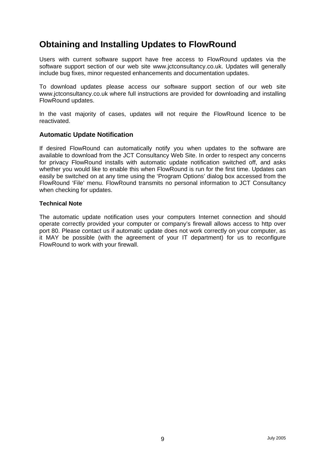# <span id="page-11-0"></span>**Obtaining and Installing Updates to FlowRound**

Users with current software support have free access to FlowRound updates via the software support section of our web site www.jctconsultancy.co.uk. Updates will generally include bug fixes, minor requested enhancements and documentation updates.

To download updates please access our software support section of our web site www.jctconsultancy.co.uk where full instructions are provided for downloading and installing FlowRound updates.

In the vast majority of cases, updates will not require the FlowRound licence to be reactivated.

#### **Automatic Update Notification**

If desired FlowRound can automatically notify you when updates to the software are available to download from the JCT Consultancy Web Site. In order to respect any concerns for privacy FlowRound installs with automatic update notification switched off, and asks whether you would like to enable this when FlowRound is run for the first time. Updates can easily be switched on at any time using the 'Program Options' dialog box accessed from the FlowRound 'File' menu. FlowRound transmits no personal information to JCT Consultancy when checking for updates.

#### **Technical Note**

The automatic update notification uses your computers Internet connection and should operate correctly provided your computer or company's firewall allows access to http over port 80. Please contact us if automatic update does not work correctly on your computer, as it MAY be possible (with the agreement of your IT department) for us to reconfigure FlowRound to work with your firewall.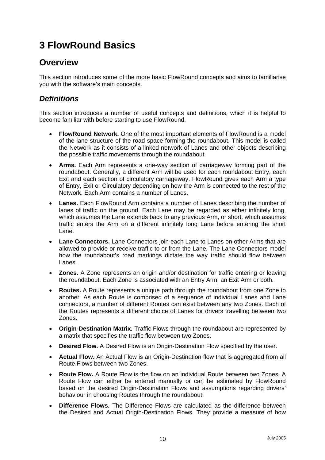# <span id="page-12-0"></span>**3 FlowRound Basics**

# **Overview**

This section introduces some of the more basic FlowRound concepts and aims to familiarise you with the software's main concepts.

# *Definitions*

This section introduces a number of useful concepts and definitions, which it is helpful to become familiar with before starting to use FlowRound.

- **FlowRound Network.** One of the most important elements of FlowRound is a model of the lane structure of the road space forming the roundabout. This model is called the Network as it consists of a linked network of Lanes and other objects describing the possible traffic movements through the roundabout.
- **Arms.** Each Arm represents a one-way section of carriageway forming part of the roundabout. Generally, a different Arm will be used for each roundabout Entry, each Exit and each section of circulatory carriageway. FlowRound gives each Arm a type of Entry, Exit or Circulatory depending on how the Arm is connected to the rest of the Network. Each Arm contains a number of Lanes.
- **Lanes.** Each FlowRound Arm contains a number of Lanes describing the number of lanes of traffic on the ground. Each Lane may be regarded as either infinitely long, which assumes the Lane extends back to any previous Arm, or short, which assumes traffic enters the Arm on a different infinitely long Lane before entering the short Lane.
- **Lane Connectors.** Lane Connectors join each Lane to Lanes on other Arms that are allowed to provide or receive traffic to or from the Lane. The Lane Connectors model how the roundabout's road markings dictate the way traffic should flow between Lanes.
- **Zones.** A Zone represents an origin and/or destination for traffic entering or leaving the roundabout. Each Zone is associated with an Entry Arm, an Exit Arm or both.
- **Routes.** A Route represents a unique path through the roundabout from one Zone to another. As each Route is comprised of a sequence of individual Lanes and Lane connectors, a number of different Routes can exist between any two Zones. Each of the Routes represents a different choice of Lanes for drivers travelling between two Zones.
- **Origin-Destination Matrix.** Traffic Flows through the roundabout are represented by a matrix that specifies the traffic flow between two Zones.
- **Desired Flow.** A Desired Flow is an Origin-Destination Flow specified by the user.
- **Actual Flow.** An Actual Flow is an Origin-Destination flow that is aggregated from all Route Flows between two Zones.
- **Route Flow.** A Route Flow is the flow on an individual Route between two Zones. A Route Flow can either be entered manually or can be estimated by FlowRound based on the desired Origin-Destination Flows and assumptions regarding drivers' behaviour in choosing Routes through the roundabout.
- **Difference Flows.** The Difference Flows are calculated as the difference between the Desired and Actual Origin-Destination Flows. They provide a measure of how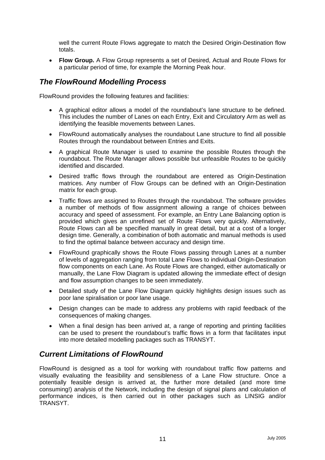<span id="page-13-0"></span>well the current Route Flows aggregate to match the Desired Origin-Destination flow totals.

• **Flow Group.** A Flow Group represents a set of Desired, Actual and Route Flows for a particular period of time, for example the Morning Peak hour.

### *The FlowRound Modelling Process*

FlowRound provides the following features and facilities:

- A graphical editor allows a model of the roundabout's lane structure to be defined. This includes the number of Lanes on each Entry, Exit and Circulatory Arm as well as identifying the feasible movements between Lanes.
- FlowRound automatically analyses the roundabout Lane structure to find all possible Routes through the roundabout between Entries and Exits.
- A graphical Route Manager is used to examine the possible Routes through the roundabout. The Route Manager allows possible but unfeasible Routes to be quickly identified and discarded.
- Desired traffic flows through the roundabout are entered as Origin-Destination matrices. Any number of Flow Groups can be defined with an Origin-Destination matrix for each group.
- Traffic flows are assigned to Routes through the roundabout. The software provides a number of methods of flow assignment allowing a range of choices between accuracy and speed of assessment. For example, an Entry Lane Balancing option is provided which gives an unrefined set of Route Flows very quickly. Alternatively, Route Flows can all be specified manually in great detail, but at a cost of a longer design time. Generally, a combination of both automatic and manual methods is used to find the optimal balance between accuracy and design time.
- FlowRound graphically shows the Route Flows passing through Lanes at a number of levels of aggregation ranging from total Lane Flows to individual Origin-Destination flow components on each Lane. As Route Flows are changed, either automatically or manually, the Lane Flow Diagram is updated allowing the immediate effect of design and flow assumption changes to be seen immediately.
- Detailed study of the Lane Flow Diagram quickly highlights design issues such as poor lane spiralisation or poor lane usage.
- Design changes can be made to address any problems with rapid feedback of the consequences of making changes.
- When a final design has been arrived at, a range of reporting and printing facilities can be used to present the roundabout's traffic flows in a form that facilitates input into more detailed modelling packages such as TRANSYT.

# *Current Limitations of FlowRound*

FlowRound is designed as a tool for working with roundabout traffic flow patterns and visually evaluating the feasibility and sensibleness of a Lane Flow structure. Once a potentially feasible design is arrived at, the further more detailed (and more time consuming!) analysis of the Network, including the design of signal plans and calculation of performance indices, is then carried out in other packages such as LINSIG and/or TRANSYT.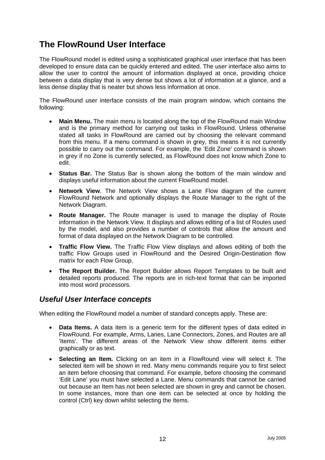# <span id="page-14-0"></span>**The FlowRound User Interface**

The FlowRound model is edited using a sophisticated graphical user interface that has been developed to ensure data can be quickly entered and edited. The user interface also aims to allow the user to control the amount of information displayed at once, providing choice between a data display that is very dense but shows a lot of information at a glance, and a less dense display that is neater but shows less information at once.

The FlowRound user interface consists of the main program window, which contains the following:

- **Main Menu.** The main menu is located along the top of the FlowRound main Window and is the primary method for carrying out tasks in FlowRound. Unless otherwise stated all tasks in FlowRound are carried out by choosing the relevant command from this menu. If a menu command is shown in grey, this means it is not currently possible to carry out the command. For example, the 'Edit Zone' command is shown in grey if no Zone is currently selected, as FlowRound does not know which Zone to edit.
- **Status Bar.** The Status Bar is shown along the bottom of the main window and displays useful information about the current FlowRound model.
- **Network View**. The Network View shows a Lane Flow diagram of the current FlowRound Network and optionally displays the Route Manager to the right of the Network Diagram.
- **Route Manager.** The Route manager is used to manage the display of Route information in the Network View. It displays and allows editing of a list of Routes used by the model, and also provides a number of controls that allow the amount and format of data displayed on the Network Diagram to be controlled.
- **Traffic Flow View.** The Traffic Flow View displays and allows editing of both the traffic Flow Groups used in FlowRound and the Desired Origin-Destination flow matrix for each Flow Group.
- **The Report Builder.** The Report Builder allows Report Templates to be built and detailed reports produced. The reports are in rich-text format that can be imported into most word processors.

### *Useful User Interface concepts*

When editing the FlowRound model a number of standard concepts apply. These are:

- **Data Items.** A data item is a generic term for the different types of data edited in FlowRound. For example, Arms, Lanes, Lane Connectors, Zones, and Routes are all 'Items'. The different areas of the Network View show different items either graphically or as text.
- **Selecting an Item.** Clicking on an item in a FlowRound view will select it. The selected item will be shown in red. Many menu commands require you to first select an item before choosing that command. For example, before choosing the command 'Edit Lane' you must have selected a Lane. Menu commands that cannot be carried out because an Item has not been selected are shown in grey and cannot be chosen. In some instances, more than one item can be selected at once by holding the control (Ctrl) key down whilst selecting the Items.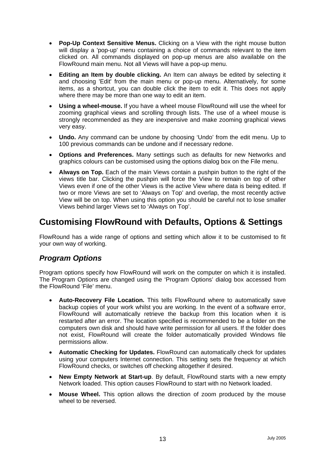- <span id="page-15-0"></span>**Pop-Up Context Sensitive Menus.** Clicking on a View with the right mouse button will display a 'pop-up' menu containing a choice of commands relevant to the item clicked on. All commands displayed on pop-up menus are also available on the FlowRound main menu. Not all Views will have a pop-up menu.
- **Editing an Item by double clicking.** An Item can always be edited by selecting it and choosing 'Edit' from the main menu or pop-up menu. Alternatively, for some items, as a shortcut, you can double click the item to edit it. This does not apply where there may be more than one way to edit an item.
- **Using a wheel-mouse.** If you have a wheel mouse FlowRound will use the wheel for zooming graphical views and scrolling through lists. The use of a wheel mouse is strongly recommended as they are inexpensive and make zooming graphical views very easy.
- **Undo.** Any command can be undone by choosing 'Undo' from the edit menu. Up to 100 previous commands can be undone and if necessary redone.
- **Options and Preferences.** Many settings such as defaults for new Networks and graphics colours can be customised using the options dialog box on the File menu.
- **Always on Top.** Each of the main Views contain a pushpin button to the right of the views title bar. Clicking the pushpin will force the View to remain on top of other Views even if one of the other Views is the active View where data is being edited. If two or more Views are set to 'Always on Top' and overlap, the most recently active View will be on top. When using this option you should be careful not to lose smaller Views behind larger Views set to 'Always on Top'.

# **Customising FlowRound with Defaults, Options & Settings**

FlowRound has a wide range of options and setting which allow it to be customised to fit your own way of working.

# *Program Options*

Program options specify how FlowRound will work on the computer on which it is installed. The Program Options are changed using the 'Program Options' dialog box accessed from the FlowRound 'File' menu.

- **Auto-Recovery File Location.** This tells FlowRound where to automatically save backup copies of your work whilst you are working. In the event of a software error, FlowRound will automatically retrieve the backup from this location when it is restarted after an error. The location specified is recommended to be a folder on the computers own disk and should have write permission for all users. If the folder does not exist, FlowRound will create the folder automatically provided Windows file permissions allow.
- **Automatic Checking for Updates.** FlowRound can automatically check for updates using your computers Internet connection. This setting sets the frequency at which FlowRound checks, or switches off checking altogether if desired.
- **New Empty Network at Start-up**. By default, FlowRound starts with a new empty Network loaded. This option causes FlowRound to start with no Network loaded.
- **Mouse Wheel.** This option allows the direction of zoom produced by the mouse wheel to be reversed.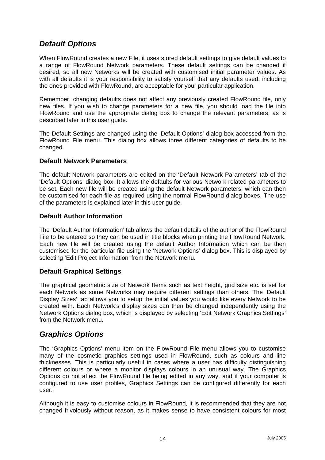# <span id="page-16-0"></span>*Default Options*

When FlowRound creates a new File, it uses stored default settings to give default values to a range of FlowRound Network parameters. These default settings can be changed if desired, so all new Networks will be created with customised initial parameter values. As with all defaults it is your responsibility to satisfy yourself that any defaults used, including the ones provided with FlowRound, are acceptable for your particular application.

Remember, changing defaults does not affect any previously created FlowRound file, only new files. If you wish to change parameters for a new file, you should load the file into FlowRound and use the appropriate dialog box to change the relevant parameters, as is described later in this user guide.

The Default Settings are changed using the 'Default Options' dialog box accessed from the FlowRound File menu. This dialog box allows three different categories of defaults to be changed.

#### **Default Network Parameters**

The default Network parameters are edited on the 'Default Network Parameters' tab of the 'Default Options' dialog box. It allows the defaults for various Network related parameters to be set. Each new file will be created using the default Network parameters, which can then be customised for each file as required using the normal FlowRound dialog boxes. The use of the parameters is explained later in this user guide.

#### **Default Author Information**

The 'Default Author Information' tab allows the default details of the author of the FlowRound File to be entered so they can be used in title blocks when printing the FlowRound Network. Each new file will be created using the default Author Information which can be then customised for the particular file using the 'Network Options' dialog box. This is displayed by selecting 'Edit Project Information' from the Network menu.

#### **Default Graphical Settings**

The graphical geometric size of Network Items such as text height, grid size etc. is set for each Network as some Networks may require different settings than others. The 'Default Display Sizes' tab allows you to setup the initial values you would like every Network to be created with. Each Network's display sizes can then be changed independently using the Network Options dialog box, which is displayed by selecting 'Edit Network Graphics Settings' from the Network menu.

### *Graphics Options*

The 'Graphics Options' menu item on the FlowRound File menu allows you to customise many of the cosmetic graphics settings used in FlowRound, such as colours and line thicknesses. This is particularly useful in cases where a user has difficulty distinguishing different colours or where a monitor displays colours in an unusual way. The Graphics Options do not affect the FlowRound file being edited in any way, and if your computer is configured to use user profiles, Graphics Settings can be configured differently for each user.

Although it is easy to customise colours in FlowRound, it is recommended that they are not changed frivolously without reason, as it makes sense to have consistent colours for most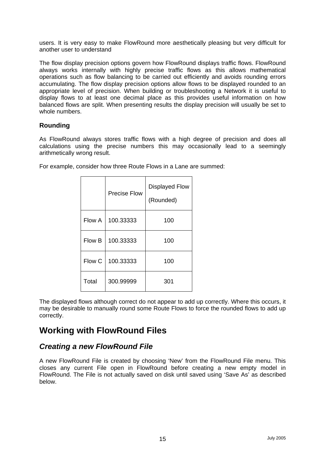<span id="page-17-0"></span>users. It is very easy to make FlowRound more aesthetically pleasing but very difficult for another user to understand

The flow display precision options govern how FlowRound displays traffic flows. FlowRound always works internally with highly precise traffic flows as this allows mathematical operations such as flow balancing to be carried out efficiently and avoids rounding errors accumulating. The flow display precision options allow flows to be displayed rounded to an appropriate level of precision. When building or troubleshooting a Network it is useful to display flows to at least one decimal place as this provides useful information on how balanced flows are split. When presenting results the display precision will usually be set to whole numbers.

#### **Rounding**

As FlowRound always stores traffic flows with a high degree of precision and does all calculations using the precise numbers this may occasionally lead to a seemingly arithmetically wrong result.

|        | <b>Precise Flow</b> | <b>Displayed Flow</b><br>(Rounded) |
|--------|---------------------|------------------------------------|
| Flow A | 100.33333           | 100                                |
| Flow B | 100.33333           | 100                                |
| Flow C | 100.33333           | 100                                |
| Total  | 300.99999           | 301                                |

For example, consider how three Route Flows in a Lane are summed:

The displayed flows although correct do not appear to add up correctly. Where this occurs, it may be desirable to manually round some Route Flows to force the rounded flows to add up correctly.

# **Working with FlowRound Files**

# *Creating a new FlowRound File*

A new FlowRound File is created by choosing 'New' from the FlowRound File menu. This closes any current File open in FlowRound before creating a new empty model in FlowRound. The File is not actually saved on disk until saved using 'Save As' as described below.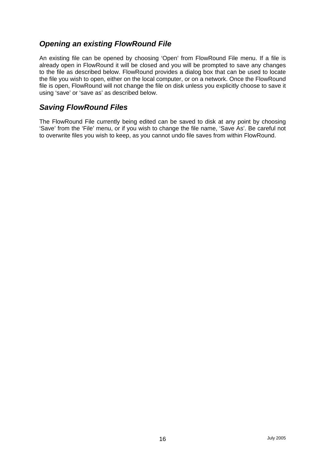# <span id="page-18-0"></span>*Opening an existing FlowRound File*

An existing file can be opened by choosing 'Open' from FlowRound File menu. If a file is already open in FlowRound it will be closed and you will be prompted to save any changes to the file as described below. FlowRound provides a dialog box that can be used to locate the file you wish to open, either on the local computer, or on a network. Once the FlowRound file is open, FlowRound will not change the file on disk unless you explicitly choose to save it using 'save' or 'save as' as described below.

# *Saving FlowRound Files*

The FlowRound File currently being edited can be saved to disk at any point by choosing 'Save' from the 'File' menu, or if you wish to change the file name, 'Save As'. Be careful not to overwrite files you wish to keep, as you cannot undo file saves from within FlowRound.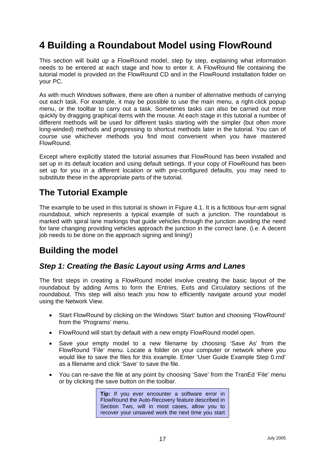# <span id="page-19-0"></span>**4 Building a Roundabout Model using FlowRound**

This section will build up a FlowRound model, step by step, explaining what information needs to be entered at each stage and how to enter it. A FlowRound file containing the tutorial model is provided on the FlowRound CD and in the FlowRound installation folder on your PC.

As with much Windows software, there are often a number of alternative methods of carrying out each task. For example, it may be possible to use the main menu, a right-click popup menu, or the toolbar to carry out a task. Sometimes tasks can also be carried out more quickly by dragging graphical items with the mouse. At each stage in this tutorial a number of different methods will be used for different tasks starting with the simpler (but often more long-winded) methods and progressing to shortcut methods later in the tutorial. You can of course use whichever methods you find most convenient when you have mastered FlowRound.

Except where explicitly stated the tutorial assumes that FlowRound has been installed and set up in its default location and using default settings. If your copy of FlowRound has been set up for you in a different location or with pre-configured defaults, you may need to substitute these in the appropriate parts of the tutorial.

# **The Tutorial Example**

The example to be used in this tutorial is shown in Figure 4.1. It is a fictitious four-arm signal roundabout, which represents a typical example of such a junction. The roundabout is marked with spiral lane markings that guide vehicles through the junction avoiding the need for lane changing providing vehicles approach the junction in the correct lane. (i.e. A decent job needs to be done on the approach signing and lining!)

# **Building the model**

# *Step 1: Creating the Basic Layout using Arms and Lanes*

The first steps in creating a FlowRound model involve creating the basic layout of the roundabout by adding Arms to form the Entries, Exits and Circulatory sections of the roundabout. This step will also teach you how to efficiently navigate around your model using the Network View.

- Start FlowRound by clicking on the Windows 'Start' button and choosing 'FlowRound' from the 'Programs' menu.
- FlowRound will start by default with a new empty FlowRound model open.
- Save your empty model to a new filename by choosing 'Save As' from the FlowRound 'File' menu. Locate a folder on your computer or network where you would like to save the files for this example. Enter 'User Guide Example Step 0.rnd' as a filename and click 'Save' to save the file.
- You can re-save the file at any point by choosing 'Save' from the TranEd 'File' menu or by clicking the save button on the toolbar.

**Tip:** If you ever encounter a software error in FlowRound the Auto-Recovery feature described in Section Two, will in most cases, allow you to recover your unsaved work the next time you start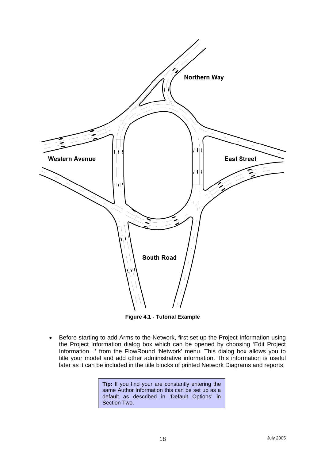

**Figure 4.1 - Tutorial Example** 

• Before starting to add Arms to the Network, first set up the Project Information using the Project Information dialog box which can be opened by choosing 'Edit Project Information…' from the FlowRound 'Network' menu. This dialog box allows you to title your model and add other administrative information. This information is useful later as it can be included in the title blocks of printed Network Diagrams and reports.

> **Tip:** If you find your are constantly entering the same Author Information this can be set up as a default as described in 'Default Options' in Section Two.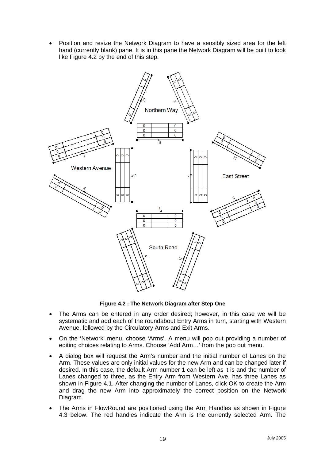Position and resize the Network Diagram to have a sensibly sized area for the left hand (currently blank) pane. It is in this pane the Network Diagram will be built to look like Figure 4.2 by the end of this step.



**Figure 4.2 : The Network Diagram after Step One**

- The Arms can be entered in any order desired; however, in this case we will be systematic and add each of the roundabout Entry Arms in turn, starting with Western Avenue, followed by the Circulatory Arms and Exit Arms.
- On the 'Network' menu, choose 'Arms'. A menu will pop out providing a number of editing choices relating to Arms. Choose 'Add Arm…' from the pop out menu.
- A dialog box will request the Arm's number and the initial number of Lanes on the Arm. These values are only initial values for the new Arm and can be changed later if desired. In this case, the default Arm number 1 can be left as it is and the number of Lanes changed to three, as the Entry Arm from Western Ave. has three Lanes as shown in Figure 4.1. After changing the number of Lanes, click OK to create the Arm and drag the new Arm into approximately the correct position on the Network Diagram.
- The Arms in FlowRound are positioned using the Arm Handles as shown in Figure 4.3 below. The red handles indicate the Arm is the currently selected Arm. The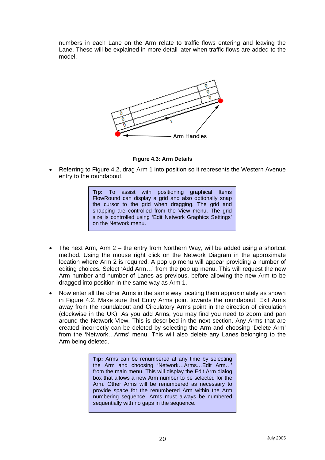numbers in each Lane on the Arm relate to traffic flows entering and leaving the Lane. These will be explained in more detail later when traffic flows are added to the model.



**Figure 4.3: Arm Details** 

• Referring to Figure 4.2, drag Arm 1 into position so it represents the Western Avenue entry to the roundabout.

> **Tip:** To assist with positioning graphical Items FlowRound can display a grid and also optionally snap the cursor to the grid when dragging. The grid and snapping are controlled from the View menu. The grid size is controlled using 'Edit Network Graphics Settings' on the Network menu.

- The next Arm, Arm 2 the entry from Northern Way, will be added using a shortcut method. Using the mouse right click on the Network Diagram in the approximate location where Arm 2 is required. A pop up menu will appear providing a number of editing choices. Select 'Add Arm…' from the pop up menu. This will request the new Arm number and number of Lanes as previous, before allowing the new Arm to be dragged into position in the same way as Arm 1.
- Now enter all the other Arms in the same way locating them approximately as shown in Figure 4.2. Make sure that Entry Arms point towards the roundabout, Exit Arms away from the roundabout and Circulatory Arms point in the direction of circulation (clockwise in the UK). As you add Arms, you may find you need to zoom and pan around the Network View. This is described in the next section. Any Arms that are created incorrectly can be deleted by selecting the Arm and choosing 'Delete Arm' from the 'Network…Arms' menu. This will also delete any Lanes belonging to the Arm being deleted.

**Tip:** Arms can be renumbered at any time by selecting the Arm and choosing 'Network…Arms…Edit Arm…' from the main menu. This will display the Edit Arm dialog box that allows a new Arm number to be selected for the Arm. Other Arms will be renumbered as necessary to provide space for the renumbered Arm within the Arm numbering sequence. Arms must always be numbered sequentially with no gaps in the sequence.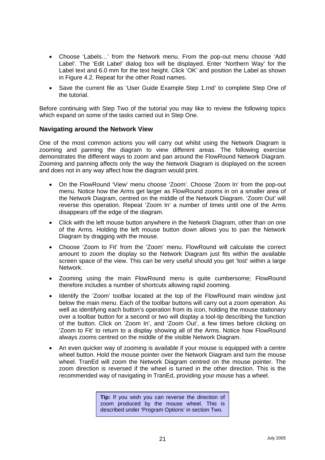- <span id="page-23-0"></span>• Choose 'Labels…' from the Network menu. From the pop-out menu choose 'Add Label'. The 'Edit Label' dialog box will be displayed. Enter 'Northern Way' for the Label text and 6.0 mm for the text height. Click 'OK' and position the Label as shown in Figure 4.2. Repeat for the other Road names.
- Save the current file as 'User Guide Example Step 1.rnd' to complete Step One of the tutorial.

Before continuing with Step Two of the tutorial you may like to review the following topics which expand on some of the tasks carried out in Step One.

#### **Navigating around the Network View**

One of the most common actions you will carry out whilst using the Network Diagram is zooming and panning the diagram to view different areas. The following exercise demonstrates the different ways to zoom and pan around the FlowRound Network Diagram. Zooming and panning affects only the way the Network Diagram is displayed on the screen and does not in any way affect how the diagram would print.

- On the FlowRound 'View' menu choose 'Zoom'. Choose 'Zoom In' from the pop-out menu. Notice how the Arms get larger as FlowRound zooms in on a smaller area of the Network Diagram, centred on the middle of the Network Diagram. 'Zoom Out' will reverse this operation. Repeat 'Zoom In' a number of times until one of the Arms disappears off the edge of the diagram.
- Click with the left mouse button anywhere in the Network Diagram, other than on one of the Arms. Holding the left mouse button down allows you to pan the Network Diagram by dragging with the mouse.
- Choose 'Zoom to Fit' from the 'Zoom' menu. FlowRound will calculate the correct amount to zoom the display so the Network Diagram just fits within the available screen space of the view. This can be very useful should you get 'lost' within a large Network.
- Zooming using the main FlowRound menu is quite cumbersome; FlowRound therefore includes a number of shortcuts allowing rapid zooming.
- Identify the 'Zoom' toolbar located at the top of the FlowRound main window just below the main menu. Each of the toolbar buttons will carry out a zoom operation. As well as identifying each button's operation from its icon, holding the mouse stationary over a toolbar button for a second or two will display a tool-tip describing the function of the button. Click on 'Zoom In', and 'Zoom Out', a few times before clicking on 'Zoom to Fit' to return to a display showing all of the Arms. Notice how FlowRound always zooms centred on the middle of the visible Network Diagram.
- An even quicker way of zooming is available if your mouse is equipped with a centre wheel button. Hold the mouse pointer over the Network Diagram and turn the mouse wheel. TranEd will zoom the Network Diagram centred on the mouse pointer. The zoom direction is reversed if the wheel is turned in the other direction. This is the recommended way of navigating in TranEd, providing your mouse has a wheel.

**Tip:** If you wish you can reverse the direction of zoom produced by the mouse wheel. This is described under 'Program Options' in section Two.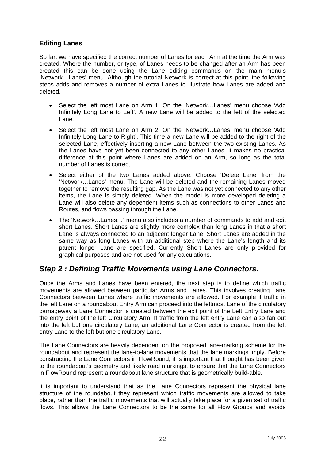### <span id="page-24-0"></span>**Editing Lanes**

So far, we have specified the correct number of Lanes for each Arm at the time the Arm was created. Where the number, or type, of Lanes needs to be changed after an Arm has been created this can be done using the Lane editing commands on the main menu's 'Network…Lanes' menu. Although the tutorial Network is correct at this point, the following steps adds and removes a number of extra Lanes to illustrate how Lanes are added and deleted.

- Select the left most Lane on Arm 1. On the 'Network…Lanes' menu choose 'Add Infinitely Long Lane to Left'. A new Lane will be added to the left of the selected Lane.
- Select the left most Lane on Arm 2. On the 'Network…Lanes' menu choose 'Add Infinitely Long Lane to Right'. This time a new Lane will be added to the right of the selected Lane, effectively inserting a new Lane between the two existing Lanes. As the Lanes have not yet been connected to any other Lanes, it makes no practical difference at this point where Lanes are added on an Arm, so long as the total number of Lanes is correct.
- Select either of the two Lanes added above. Choose 'Delete Lane' from the 'Network…Lanes' menu. The Lane will be deleted and the remaining Lanes moved together to remove the resulting gap. As the Lane was not yet connected to any other items, the Lane is simply deleted. When the model is more developed deleting a Lane will also delete any dependent items such as connections to other Lanes and Routes, and flows passing through the Lane.
- The 'Network…Lanes…' menu also includes a number of commands to add and edit short Lanes. Short Lanes are slightly more complex than long Lanes in that a short Lane is always connected to an adjacent longer Lane. Short Lanes are added in the same way as long Lanes with an additional step where the Lane's length and its parent longer Lane are specified. Currently Short Lanes are only provided for graphical purposes and are not used for any calculations.

### *Step 2 : Defining Traffic Movements using Lane Connectors.*

Once the Arms and Lanes have been entered, the next step is to define which traffic movements are allowed between particular Arms and Lanes. This involves creating Lane Connectors between Lanes where traffic movements are allowed. For example if traffic in the left Lane on a roundabout Entry Arm can proceed into the leftmost Lane of the circulatory carriageway a Lane Connector is created between the exit point of the Left Entry Lane and the entry point of the left Circulatory Arm. If traffic from the left entry Lane can also fan out into the left but one circulatory Lane, an additional Lane Connector is created from the left entry Lane to the left but one circulatory Lane.

The Lane Connectors are heavily dependent on the proposed lane-marking scheme for the roundabout and represent the lane-to-lane movements that the lane markings imply. Before constructing the Lane Connectors in FlowRound, it is important that thought has been given to the roundabout's geometry and likely road markings, to ensure that the Lane Connectors in FlowRound represent a roundabout lane structure that is geometrically build-able.

It is important to understand that as the Lane Connectors represent the physical lane structure of the roundabout they represent which traffic movements are allowed to take place, rather than the traffic movements that will actually take place for a given set of traffic flows. This allows the Lane Connectors to be the same for all Flow Groups and avoids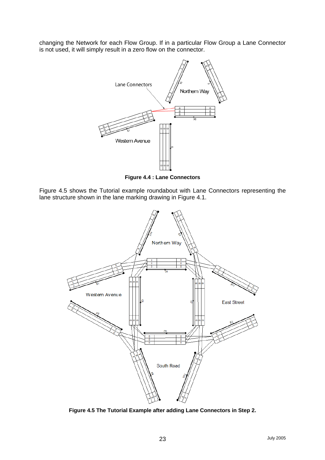changing the Network for each Flow Group. If in a particular Flow Group a Lane Connector is not used, it will simply result in a zero flow on the connector.



**Figure 4.4 : Lane Connectors** 

Figure 4.5 shows the Tutorial example roundabout with Lane Connectors representing the lane structure shown in the lane marking drawing in Figure 4.1.



**Figure 4.5 The Tutorial Example after adding Lane Connectors in Step 2.**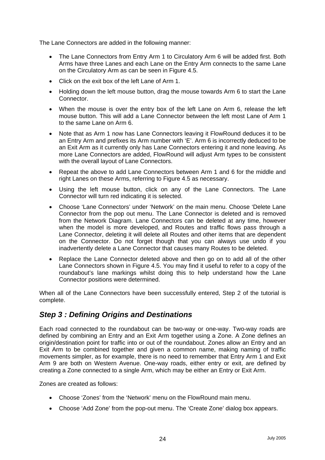<span id="page-26-0"></span>The Lane Connectors are added in the following manner:

- The Lane Connectors from Entry Arm 1 to Circulatory Arm 6 will be added first. Both Arms have three Lanes and each Lane on the Entry Arm connects to the same Lane on the Circulatory Arm as can be seen in Figure 4.5.
- Click on the exit box of the left Lane of Arm 1.
- Holding down the left mouse button, drag the mouse towards Arm 6 to start the Lane Connector.
- When the mouse is over the entry box of the left Lane on Arm 6, release the left mouse button. This will add a Lane Connector between the left most Lane of Arm 1 to the same Lane on Arm 6.
- Note that as Arm 1 now has Lane Connectors leaving it FlowRound deduces it to be an Entry Arm and prefixes its Arm number with 'E'. Arm 6 is incorrectly deduced to be an Exit Arm as it currently only has Lane Connectors entering it and none leaving. As more Lane Connectors are added, FlowRound will adjust Arm types to be consistent with the overall layout of Lane Connectors.
- Repeat the above to add Lane Connectors between Arm 1 and 6 for the middle and right Lanes on these Arms, referring to Figure 4.5 as necessary.
- Using the left mouse button, click on any of the Lane Connectors. The Lane Connector will turn red indicating it is selected.
- Choose 'Lane Connectors' under 'Network' on the main menu. Choose 'Delete Lane Connector from the pop out menu. The Lane Connector is deleted and is removed from the Network Diagram. Lane Connectors can be deleted at any time, however when the model is more developed, and Routes and traffic flows pass through a Lane Connector, deleting it will delete all Routes and other items that are dependent on the Connector. Do not forget though that you can always use undo if you inadvertently delete a Lane Connector that causes many Routes to be deleted.
- Replace the Lane Connector deleted above and then go on to add all of the other Lane Connectors shown in Figure 4.5. You may find it useful to refer to a copy of the roundabout's lane markings whilst doing this to help understand how the Lane Connector positions were determined.

When all of the Lane Connectors have been successfully entered, Step 2 of the tutorial is complete.

# *Step 3 : Defining Origins and Destinations*

Each road connected to the roundabout can be two-way or one-way. Two-way roads are defined by combining an Entry and an Exit Arm together using a Zone. A Zone defines an origin/destination point for traffic into or out of the roundabout. Zones allow an Entry and an Exit Arm to be combined together and given a common name, making naming of traffic movements simpler, as for example, there is no need to remember that Entry Arm 1 and Exit Arm 9 are both on Western Avenue. One-way roads, either entry or exit, are defined by creating a Zone connected to a single Arm, which may be either an Entry or Exit Arm.

Zones are created as follows:

- Choose 'Zones' from the 'Network' menu on the FlowRound main menu.
- Choose 'Add Zone' from the pop-out menu. The 'Create Zone' dialog box appears.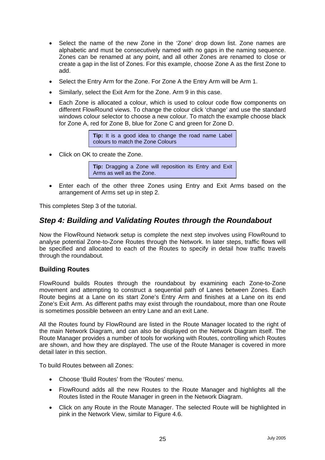- <span id="page-27-0"></span>• Select the name of the new Zone in the 'Zone' drop down list. Zone names are alphabetic and must be consecutively named with no gaps in the naming sequence. Zones can be renamed at any point, and all other Zones are renamed to close or create a gap in the list of Zones. For this example, choose Zone A as the first Zone to add.
- Select the Entry Arm for the Zone. For Zone A the Entry Arm will be Arm 1.
- Similarly, select the Exit Arm for the Zone. Arm 9 in this case.
- Each Zone is allocated a colour, which is used to colour code flow components on different FlowRound views. To change the colour click 'change' and use the standard windows colour selector to choose a new colour. To match the example choose black for Zone A, red for Zone B, blue for Zone C and green for Zone D.

**Tip:** It is a good idea to change the road name Label colours to match the Zone Colours

• Click on OK to create the Zone.

**Tip:** Dragging a Zone will reposition its Entry and Exit Arms as well as the Zone.

• Enter each of the other three Zones using Entry and Exit Arms based on the arrangement of Arms set up in step 2.

This completes Step 3 of the tutorial.

### *Step 4: Building and Validating Routes through the Roundabout*

Now the FlowRound Network setup is complete the next step involves using FlowRound to analyse potential Zone-to-Zone Routes through the Network. In later steps, traffic flows will be specified and allocated to each of the Routes to specify in detail how traffic travels through the roundabout.

#### **Building Routes**

FlowRound builds Routes through the roundabout by examining each Zone-to-Zone movement and attempting to construct a sequential path of Lanes between Zones. Each Route begins at a Lane on its start Zone's Entry Arm and finishes at a Lane on its end Zone's Exit Arm. As different paths may exist through the roundabout, more than one Route is sometimes possible between an entry Lane and an exit Lane.

All the Routes found by FlowRound are listed in the Route Manager located to the right of the main Network Diagram, and can also be displayed on the Network Diagram itself. The Route Manager provides a number of tools for working with Routes, controlling which Routes are shown, and how they are displayed. The use of the Route Manager is covered in more detail later in this section.

To build Routes between all Zones:

- Choose 'Build Routes' from the 'Routes' menu.
- FlowRound adds all the new Routes to the Route Manager and highlights all the Routes listed in the Route Manager in green in the Network Diagram.
- Click on any Route in the Route Manager. The selected Route will be highlighted in pink in the Network View, similar to Figure 4.6.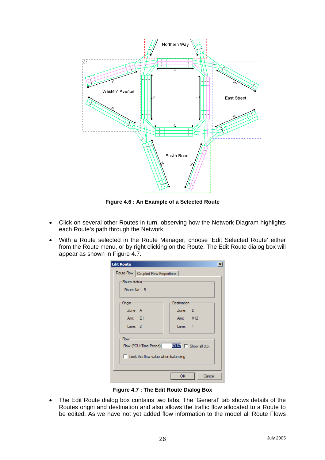

**Figure 4.6 : An Example of a Selected Route** 

- Click on several other Routes in turn, observing how the Network Diagram highlights each Route's path through the Network.
- With a Route selected in the Route Manager, choose 'Edit Selected Route' either from the Route menu, or by right clicking on the Route. The Edit Route dialog box will appear as shown in Figure 4.7.

| Cancel |
|--------|

**Figure 4.7 : The Edit Route Dialog Box** 

• The Edit Route dialog box contains two tabs. The 'General' tab shows details of the Routes origin and destination and also allows the traffic flow allocated to a Route to be edited. As we have not yet added flow information to the model all Route Flows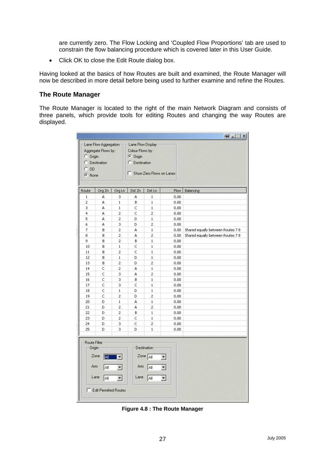<span id="page-29-0"></span>are currently zero. The Flow Locking and 'Coupled Flow Proportions' tab are used to constrain the flow balancing procedure which is covered later in this User Guide.

• Click OK to close the Edit Route dialog box.

Having looked at the basics of how Routes are built and examined, the Route Manager will now be described in more detail before being used to further examine and refine the Routes.

#### **The Route Manager**

The Route Manager is located to the right of the main Network Diagram and consists of three panels, which provide tools for editing Routes and changing the way Routes are displayed.

|              |                              |                |                   |                          |      | $\frac{1}{2}$                     |
|--------------|------------------------------|----------------|-------------------|--------------------------|------|-----------------------------------|
|              | Lane Flow Aggregation-       |                | Lane Flow Display |                          |      |                                   |
|              | Aggregate Flows by:          |                | Colour Flows by:  |                          |      |                                   |
| $C$ Origin   |                              |                | C Origin          |                          |      |                                   |
| C.           | Destination                  |                | Destination<br>C. |                          |      |                                   |
| $C$ OD       |                              |                |                   |                          |      |                                   |
|              |                              |                | п                 | Show Zero Flows on Lanes |      |                                   |
| $\odot$ None |                              |                |                   |                          |      |                                   |
|              |                              |                |                   |                          |      |                                   |
| Route        | Org Zn                       | Org Ln         | Dst Zn            | Dst Ln                   | Flow | Balancing                         |
| $\mathbf 1$  | А                            | 3              | А                 | $\mathbf 1$              | 0.00 |                                   |
| 2            | А                            | $\,1$          | В                 | $\mathbf 1$              | 0.00 |                                   |
| з            | А                            | 1              | C                 | $\mathbf 1$              | 0.00 |                                   |
| 4            | А                            | 2              | C                 | 2                        | 0.00 |                                   |
| 5            | А                            | 2              | D                 | $\mathbf 1$              | 0.00 |                                   |
| 6            | А                            | 3              | D                 | 2                        | 0.00 |                                   |
| 7            | В                            | 2              | А                 | $\mathbf 1$              | 0.00 | Shared equally between Routes 7 8 |
| 8            | B                            | 2              | А                 | 2                        | 0.00 | Shared equally between Routes 7 8 |
| 9            | B                            | 2              | В                 | $\,1$                    | 0.00 |                                   |
| 10           | В                            | 1              | C                 | $\,1$                    | 0.00 |                                   |
| 11           | В                            | 2              | C                 | $\mathbf{1}$             | 0.00 |                                   |
| 12           | B                            | 1              | D                 | $\,1$                    | 0.00 |                                   |
| 13           | В                            | 2              | D                 | 2                        | 0.00 |                                   |
| 14           | Ċ                            | $\overline{c}$ | A                 | $\mathbf{1}$             | 0.00 |                                   |
| 15           | C                            | 3              | А                 | 2                        | 0.00 |                                   |
| 16           | Ċ                            | 3              | В                 | $\mathbf 1$              | 0.00 |                                   |
| 17           | C                            | 3              | C                 | $\,1$                    | 0.00 |                                   |
| 18           | C                            | 1              | D                 | $\mathbf 1$              | 0.00 |                                   |
| 19           | C                            | 2              | D                 | 2                        | 0.00 |                                   |
| 20           | D                            | $\,1$          | А                 | $\mathbf 1$              | 0.00 |                                   |
| 21           | D                            | 2              | А                 | 2                        | 0.00 |                                   |
| 22           | D                            | $\overline{c}$ | B                 | $\mathbf{1}$             | 0.00 |                                   |
| 23           | D                            | $\overline{c}$ | Ċ                 | $\mathbf{1}$             | 0.00 |                                   |
| 24           | D                            | 3              | C                 | 2                        | 0.00 |                                   |
| 25           | D                            | 3              | D                 | $\mathbf 1$              | 0.00 |                                   |
|              |                              |                |                   |                          |      |                                   |
| Route Filter |                              |                |                   |                          |      |                                   |
| Origin       |                              |                |                   | Destination              |      |                                   |
|              | Zone<br>圖                    |                |                   | Zone $A$                 |      |                                   |
|              |                              |                |                   |                          |      |                                   |
| Arm          | Αll                          |                | Arm               | ΑI                       |      |                                   |
|              | Lane<br>ĀI                   | ▾              | Lane              | All                      | ▼    |                                   |
| г            | <b>Edit Permitted Routes</b> |                |                   |                          |      |                                   |
|              |                              |                |                   |                          |      |                                   |

**Figure 4.8 : The Route Manager**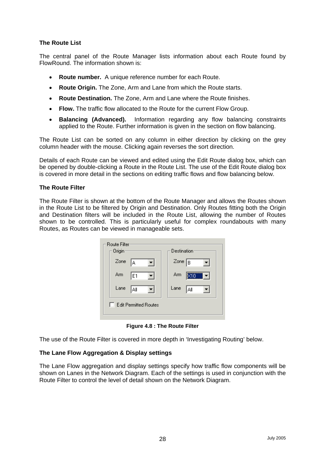#### **The Route List**

The central panel of the Route Manager lists information about each Route found by FlowRound. The information shown is:

- **Route number.** A unique reference number for each Route.
- **Route Origin.** The Zone, Arm and Lane from which the Route starts.
- **Route Destination.** The Zone, Arm and Lane where the Route finishes.
- **Flow.** The traffic flow allocated to the Route for the current Flow Group.
- **Balancing (Advanced).** Information regarding any flow balancing constraints applied to the Route. Further information is given in the section on flow balancing.

The Route List can be sorted on any column in either direction by clicking on the grey column header with the mouse. Clicking again reverses the sort direction.

Details of each Route can be viewed and edited using the Edit Route dialog box, which can be opened by double-clicking a Route in the Route List. The use of the Edit Route dialog box is covered in more detail in the sections on editing traffic flows and flow balancing below.

#### **The Route Filter**

The Route Filter is shown at the bottom of the Route Manager and allows the Routes shown in the Route List to be filtered by Origin and Destination. Only Routes fitting both the Origin and Destination filters will be included in the Route List, allowing the number of Routes shown to be controlled. This is particularly useful for complex roundabouts with many Routes, as Routes can be viewed in manageable sets.

| <b>Route Filter</b><br>Origin | Destination      |
|-------------------------------|------------------|
| Zone<br> A                    | Zone $\boxed{B}$ |
| Arm<br>E1                     | Arm<br>K10       |
| Lane<br> All                  | Lane<br>Αll      |
| <b>Edit Permitted Routes</b>  |                  |

**Figure 4.8 : The Route Filter** 

The use of the Route Filter is covered in more depth in 'Investigating Routing' below.

#### **The Lane Flow Aggregation & Display settings**

The Lane Flow aggregation and display settings specify how traffic flow components will be shown on Lanes in the Network Diagram. Each of the settings is used in conjunction with the Route Filter to control the level of detail shown on the Network Diagram.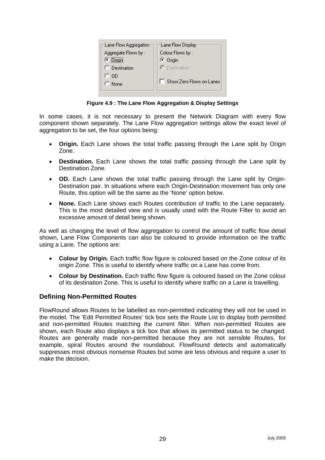<span id="page-31-0"></span>

**Figure 4.9 : The Lane Flow Aggregation & Display Settings** 

In some cases, it is not necessary to present the Network Diagram with every flow component shown separately. The Lane Flow aggregation settings allow the exact level of aggregation to be set, the four options being:

- **Origin.** Each Lane shows the total traffic passing through the Lane split by Origin Zone.
- **Destination.** Each Lane shows the total traffic passing through the Lane split by Destination Zone.
- **OD.** Each Lane shows the total traffic passing through the Lane split by Origin-Destination pair. In situations where each Origin-Destination movement has only one Route, this option will be the same as the 'None' option below.
- **None.** Each Lane shows each Routes contribution of traffic to the Lane separately. This is the most detailed view and is usually used with the Route Filter to avoid an excessive amount of detail being shown.

As well as changing the level of flow aggregation to control the amount of traffic flow detail shown, Lane Flow Components can also be coloured to provide information on the traffic using a Lane. The options are:

- **Colour by Origin.** Each traffic flow figure is coloured based on the Zone colour of its origin Zone. This is useful to identify where traffic on a Lane has come from.
- **Colour by Destination.** Each traffic flow figure is coloured based on the Zone colour of its destination Zone. This is useful to identify where traffic on a Lane is travelling.

#### **Defining Non-Permitted Routes**

FlowRound allows Routes to be labelled as non-permitted indicating they will not be used in the model. The 'Edit Permitted Routes' tick box sets the Route List to display both permitted and non-permitted Routes matching the current filter. When non-permitted Routes are shown, each Route also displays a tick box that allows its permitted status to be changed. Routes are generally made non-permitted because they are not sensible Routes, for example, spiral Routes around the roundabout. FlowRound detects and automatically suppresses most obvious nonsense Routes but some are less obvious and require a user to make the decision.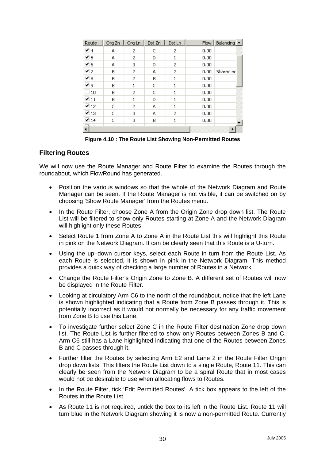<span id="page-32-0"></span>

| Route          | Org Zn | Org Ln | Dst Zn | Dst Ln | <b>Flow</b> | Balancing A |
|----------------|--------|--------|--------|--------|-------------|-------------|
| তা 4           | А      | 2      | C      | 2      | 0.00        |             |
| פ ⊠            | А      | 2      | D      |        | 0.00        |             |
| ⊠ 6            | А      | 3      | D      | 2      | 0.00        |             |
| ☑ 7            | В      | 2      | А      | 2      | 0.00        | Shared ed   |
| ☑ 8            | В      | 2      | B      |        | 0.00        |             |
| ☑ ୨            | В      | 1      | C      |        | 0.00        |             |
| 10             | В      | 2      | C      |        | 0.00        |             |
| $\boxtimes$ 11 | В      |        | D      |        | 0.00        |             |
| ☑ 12           | C      | 2      | А      |        | 0.00        |             |
| 13 ₪           | C      | 3      | А      | 2      | 0.00        |             |
| ☑ 14           | С      | 3      | В      |        | 0.00        |             |
|                |        |        |        |        |             |             |

**Figure 4.10 : The Route List Showing Non-Permitted Routes** 

#### **Filtering Routes**

We will now use the Route Manager and Route Filter to examine the Routes through the roundabout, which FlowRound has generated.

- Position the various windows so that the whole of the Network Diagram and Route Manager can be seen. If the Route Manager is not visible, it can be switched on by choosing 'Show Route Manager' from the Routes menu.
- In the Route Filter, choose Zone A from the Origin Zone drop down list. The Route List will be filtered to show only Routes starting at Zone A and the Network Diagram will highlight only these Routes.
- Select Route 1 from Zone A to Zone A in the Route List this will highlight this Route in pink on the Network Diagram. It can be clearly seen that this Route is a U-turn.
- Using the up–down cursor keys, select each Route in turn from the Route List. As each Route is selected, it is shown in pink in the Network Diagram. This method provides a quick way of checking a large number of Routes in a Network.
- Change the Route Filter's Origin Zone to Zone B. A different set of Routes will now be displayed in the Route Filter.
- Looking at circulatory Arm C6 to the north of the roundabout, notice that the left Lane is shown highlighted indicating that a Route from Zone B passes through it. This is potentially incorrect as it would not normally be necessary for any traffic movement from Zone B to use this Lane.
- To investigate further select Zone C in the Route Filter destination Zone drop down list. The Route List is further filtered to show only Routes between Zones B and C. Arm C6 still has a Lane highlighted indicating that one of the Routes between Zones B and C passes through it.
- Further filter the Routes by selecting Arm E2 and Lane 2 in the Route Filter Origin drop down lists. This filters the Route List down to a single Route, Route 11. This can clearly be seen from the Network Diagram to be a spiral Route that in most cases would not be desirable to use when allocating flows to Routes.
- In the Route Filter, tick 'Edit Permitted Routes'. A tick box appears to the left of the Routes in the Route List.
- As Route 11 is not required, untick the box to its left in the Route List. Route 11 will turn blue in the Network Diagram showing it is now a non-permitted Route. Currently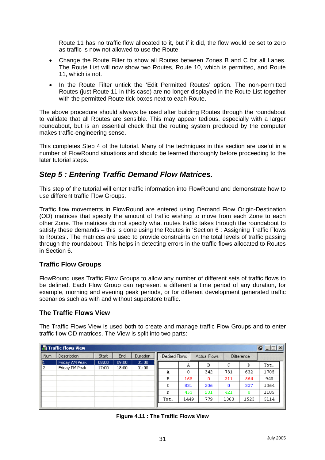<span id="page-33-0"></span>Route 11 has no traffic flow allocated to it, but if it did, the flow would be set to zero as traffic is now not allowed to use the Route.

- Change the Route Filter to show all Routes between Zones B and C for all Lanes. The Route List will now show two Routes, Route 10, which is permitted, and Route 11, which is not.
- In the Route Filter untick the 'Edit Permitted Routes' option. The non-permitted Routes (just Route 11 in this case) are no longer displayed in the Route List together with the permitted Route tick boxes next to each Route.

The above procedure should always be used after building Routes through the roundabout to validate that all Routes are sensible. This may appear tedious, especially with a larger roundabout, but is an essential check that the routing system produced by the computer makes traffic-engineering sense.

This completes Step 4 of the tutorial. Many of the techniques in this section are useful in a number of FlowRound situations and should be learned thoroughly before proceeding to the later tutorial steps.

# *Step 5 : Entering Traffic Demand Flow Matrices.*

This step of the tutorial will enter traffic information into FlowRound and demonstrate how to use different traffic Flow Groups.

Traffic flow movements in FlowRound are entered using Demand Flow Origin-Destination (OD) matrices that specify the amount of traffic wishing to move from each Zone to each other Zone. The matrices do not specify what routes traffic takes through the roundabout to satisfy these demands – this is done using the Routes in 'Section 6 : Assigning Traffic Flows to Routes'. The matrices are used to provide constraints on the total levels of traffic passing through the roundabout. This helps in detecting errors in the traffic flows allocated to Routes in Section 6.

#### **Traffic Flow Groups**

FlowRound uses Traffic Flow Groups to allow any number of different sets of traffic flows to be defined. Each Flow Group can represent a different a time period of any duration, for example, morning and evening peak periods, or for different development generated traffic scenarios such as with and without superstore traffic.

#### **The Traffic Flows View**

The Traffic Flows View is used both to create and manage traffic Flow Groups and to enter traffic flow OD matrices. The View is split into two parts:

|            | <b>B</b> Traffic Flows View      |                |                |                |               |      |                     |      |                   | $Q = 1$ |
|------------|----------------------------------|----------------|----------------|----------------|---------------|------|---------------------|------|-------------------|---------|
| <b>Num</b> | Description                      | Start          | End            | Duration       | Desired Flows |      | <b>Actual Flows</b> |      | <b>Difference</b> |         |
| ll 1<br>2  | Friday AM Peak<br>Friday PM Peak | 08:00<br>17:00 | 09:00<br>18:00 | 01:00<br>01:00 |               | А    | в                   | с    | D                 | Tot.    |
|            |                                  |                |                |                | А             | Ω    | 342                 | 731  | 632               | 1705    |
|            |                                  |                |                |                | в             | 165  | Ω                   | 211  | 564               | 940     |
|            |                                  |                |                |                |               | 831  | 206                 | ٥    | 327               | 1364    |
|            |                                  |                |                |                |               | 453  | 231                 | 421  | 0                 | 1105    |
|            |                                  |                |                |                | Tot.          | 1449 | 779                 | 1363 | 1523              | 5114    |
|            |                                  |                |                |                |               |      |                     |      |                   |         |

**Figure 4.11 : The Traffic Flows View**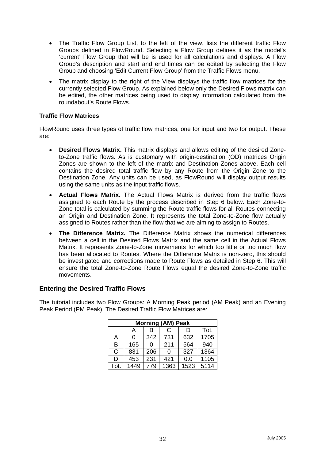- <span id="page-34-0"></span>• The Traffic Flow Group List, to the left of the view, lists the different traffic Flow Groups defined in FlowRound. Selecting a Flow Group defines it as the model's 'current' Flow Group that will be is used for all calculations and displays. A Flow Group's description and start and end times can be edited by selecting the Flow Group and choosing 'Edit Current Flow Group' from the Traffic Flows menu.
- The matrix display to the right of the View displays the traffic flow matrices for the currently selected Flow Group. As explained below only the Desired Flows matrix can be edited, the other matrices being used to display information calculated from the roundabout's Route Flows.

#### **Traffic Flow Matrices**

FlowRound uses three types of traffic flow matrices, one for input and two for output. These are:

- **Desired Flows Matrix.** This matrix displays and allows editing of the desired Zoneto-Zone traffic flows. As is customary with origin-destination (OD) matrices Origin Zones are shown to the left of the matrix and Destination Zones above. Each cell contains the desired total traffic flow by any Route from the Origin Zone to the Destination Zone. Any units can be used, as FlowRound will display output results using the same units as the input traffic flows.
- **Actual Flows Matrix.** The Actual Flows Matrix is derived from the traffic flows assigned to each Route by the process described in Step 6 below. Each Zone-to-Zone total is calculated by summing the Route traffic flows for all Routes connecting an Origin and Destination Zone. It represents the total Zone-to-Zone flow actually assigned to Routes rather than the flow that we are aiming to assign to Routes.
- **The Difference Matrix.** The Difference Matrix shows the numerical differences between a cell in the Desired Flows Matrix and the same cell in the Actual Flows Matrix. It represents Zone-to-Zone movements for which too little or too much flow has been allocated to Routes. Where the Difference Matrix is non-zero, this should be investigated and corrections made to Route Flows as detailed in Step 6. This will ensure the total Zone-to-Zone Route Flows equal the desired Zone-to-Zone traffic movements.

#### **Entering the Desired Traffic Flows**

The tutorial includes two Flow Groups: A Morning Peak period (AM Peak) and an Evening Peak Period (PM Peak). The Desired Traffic Flow Matrices are:

| <b>Morning (AM) Peak</b> |      |     |      |      |      |
|--------------------------|------|-----|------|------|------|
|                          | A    | в   | С    | D    | Tot. |
| Α                        | ი    | 342 | 731  | 632  | 1705 |
| B                        | 165  | 0   | 211  | 564  | 940  |
| C                        | 831  | 206 | 0    | 327  | 1364 |
| D                        | 453  | 231 | 421  | 0.0  | 1105 |
| Tot.                     | 1449 | 779 | 1363 | 1523 | 5114 |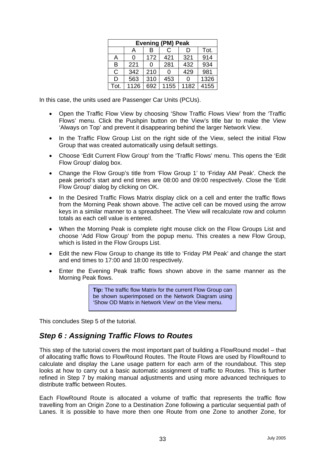| <b>Evening (PM) Peak</b> |      |     |      |      |      |
|--------------------------|------|-----|------|------|------|
|                          | A    | В   | C    | I)   | Tot. |
| А                        | ი    | 172 | 421  | 321  | 914  |
| B                        | 221  | 0   | 281  | 432  | 934  |
| $\mathsf{C}$             | 342  | 210 | 0    | 429  | 981  |
| D                        | 563  | 310 | 453  | 0    | 1326 |
| Tot.                     | 1126 | 692 | 1155 | 1182 | 4155 |

<span id="page-35-0"></span>In this case, the units used are Passenger Car Units (PCUs).

- Open the Traffic Flow View by choosing 'Show Traffic Flows View' from the 'Traffic Flows' menu. Click the Pushpin button on the View's title bar to make the View 'Always on Top' and prevent it disappearing behind the larger Network View.
- In the Traffic Flow Group List on the right side of the View, select the initial Flow Group that was created automatically using default settings.
- Choose 'Edit Current Flow Group' from the 'Traffic Flows' menu. This opens the 'Edit Flow Group' dialog box.
- Change the Flow Group's title from 'Flow Group 1' to 'Friday AM Peak'. Check the peak period's start and end times are 08:00 and 09:00 respectively. Close the 'Edit Flow Group' dialog by clicking on OK.
- In the Desired Traffic Flows Matrix display click on a cell and enter the traffic flows from the Morning Peak shown above. The active cell can be moved using the arrow keys in a similar manner to a spreadsheet. The View will recalculate row and column totals as each cell value is entered.
- When the Morning Peak is complete right mouse click on the Flow Groups List and choose 'Add Flow Group' from the popup menu. This creates a new Flow Group, which is listed in the Flow Groups List.
- Edit the new Flow Group to change its title to 'Friday PM Peak' and change the start and end times to 17:00 and 18:00 respectively.
- Enter the Evening Peak traffic flows shown above in the same manner as the Morning Peak flows.

**Tip:** The traffic flow Matrix for the current Flow Group can be shown superimposed on the Network Diagram using 'Show OD Matrix in Network View' on the View menu.

This concludes Step 5 of the tutorial.

### *Step 6 : Assigning Traffic Flows to Routes*

This step of the tutorial covers the most important part of building a FlowRound model – that of allocating traffic flows to FlowRound Routes. The Route Flows are used by FlowRound to calculate and display the Lane usage pattern for each arm of the roundabout. This step looks at how to carry out a basic automatic assignment of traffic to Routes. This is further refined in Step 7 by making manual adjustments and using more advanced techniques to distribute traffic between Routes.

Each FlowRound Route is allocated a volume of traffic that represents the traffic flow travelling from an Origin Zone to a Destination Zone following a particular sequential path of Lanes. It is possible to have more then one Route from one Zone to another Zone, for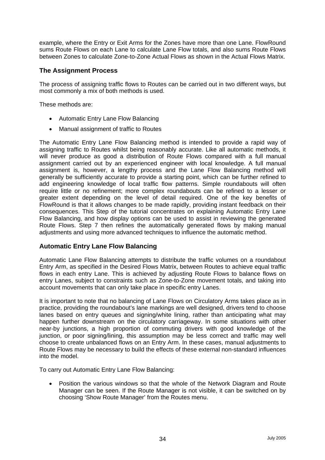<span id="page-36-0"></span>example, where the Entry or Exit Arms for the Zones have more than one Lane. FlowRound sums Route Flows on each Lane to calculate Lane Flow totals, and also sums Route Flows between Zones to calculate Zone-to-Zone Actual Flows as shown in the Actual Flows Matrix.

#### **The Assignment Process**

The process of assigning traffic flows to Routes can be carried out in two different ways, but most commonly a mix of both methods is used.

These methods are:

- Automatic Entry Lane Flow Balancing
- Manual assignment of traffic to Routes

The Automatic Entry Lane Flow Balancing method is intended to provide a rapid way of assigning traffic to Routes whilst being reasonably accurate. Like all automatic methods, it will never produce as good a distribution of Route Flows compared with a full manual assignment carried out by an experienced engineer with local knowledge. A full manual assignment is, however, a lengthy process and the Lane Flow Balancing method will generally be sufficiently accurate to provide a starting point, which can be further refined to add engineering knowledge of local traffic flow patterns. Simple roundabouts will often require little or no refinement; more complex roundabouts can be refined to a lesser or greater extent depending on the level of detail required. One of the key benefits of FlowRound is that it allows changes to be made rapidly, providing instant feedback on their consequences. This Step of the tutorial concentrates on explaining Automatic Entry Lane Flow Balancing, and how display options can be used to assist in reviewing the generated Route Flows. Step 7 then refines the automatically generated flows by making manual adjustments and using more advanced techniques to influence the automatic method.

#### **Automatic Entry Lane Flow Balancing**

Automatic Lane Flow Balancing attempts to distribute the traffic volumes on a roundabout Entry Arm, as specified in the Desired Flows Matrix, between Routes to achieve equal traffic flows in each entry Lane. This is achieved by adjusting Route Flows to balance flows on entry Lanes, subject to constraints such as Zone-to-Zone movement totals, and taking into account movements that can only take place in specific entry Lanes.

It is important to note that no balancing of Lane Flows on Circulatory Arms takes place as in practice, providing the roundabout's lane markings are well designed, drivers tend to choose lanes based on entry queues and signing/white lining, rather than anticipating what may happen further downstream on the circulatory carriageway. In some situations with other near-by junctions, a high proportion of commuting drivers with good knowledge of the junction, or poor signing/lining, this assumption may be less correct and traffic may well choose to create unbalanced flows on an Entry Arm. In these cases, manual adjustments to Route Flows may be necessary to build the effects of these external non-standard influences into the model.

To carry out Automatic Entry Lane Flow Balancing:

• Position the various windows so that the whole of the Network Diagram and Route Manager can be seen. If the Route Manager is not visible, it can be switched on by choosing 'Show Route Manager' from the Routes menu.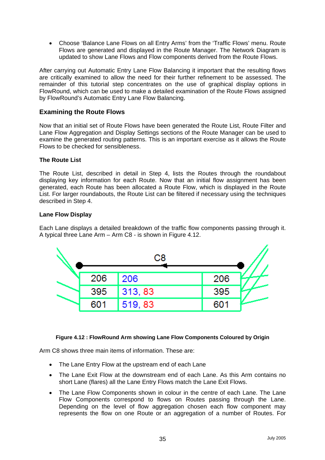<span id="page-37-0"></span>• Choose 'Balance Lane Flows on all Entry Arms' from the 'Traffic Flows' menu. Route Flows are generated and displayed in the Route Manager. The Network Diagram is updated to show Lane Flows and Flow components derived from the Route Flows.

After carrying out Automatic Entry Lane Flow Balancing it important that the resulting flows are critically examined to allow the need for their further refinement to be assessed. The remainder of this tutorial step concentrates on the use of graphical display options in FlowRound, which can be used to make a detailed examination of the Route Flows assigned by FlowRound's Automatic Entry Lane Flow Balancing.

#### **Examining the Route Flows**

Now that an initial set of Route Flows have been generated the Route List, Route Filter and Lane Flow Aggregation and Display Settings sections of the Route Manager can be used to examine the generated routing patterns. This is an important exercise as it allows the Route Flows to be checked for sensibleness.

#### **The Route List**

The Route List, described in detail in Step 4, lists the Routes through the roundabout displaying key information for each Route. Now that an initial flow assignment has been generated, each Route has been allocated a Route Flow, which is displayed in the Route List. For larger roundabouts, the Route List can be filtered if necessary using the techniques described in Step 4.

#### **Lane Flow Display**

Each Lane displays a detailed breakdown of the traffic flow components passing through it. A typical three Lane Arm – Arm C8 - is shown in Figure 4.12.



#### **Figure 4.12 : FlowRound Arm showing Lane Flow Components Coloured by Origin**

Arm C8 shows three main items of information. These are:

- The Lane Entry Flow at the upstream end of each Lane
- The Lane Exit Flow at the downstream end of each Lane. As this Arm contains no short Lane (flares) all the Lane Entry Flows match the Lane Exit Flows.
- The Lane Flow Components shown in colour in the centre of each Lane. The Lane Flow Components correspond to flows on Routes passing through the Lane. Depending on the level of flow aggregation chosen each flow component may represents the flow on one Route or an aggregation of a number of Routes. For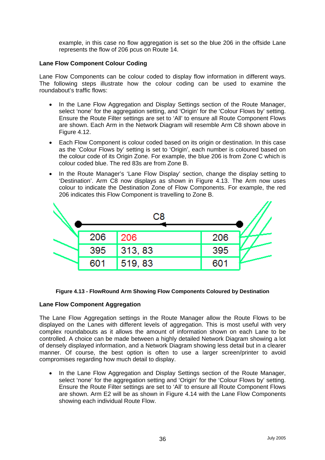example, in this case no flow aggregation is set so the blue 206 in the offside Lane represents the flow of 206 pcus on Route 14.

#### **Lane Flow Component Colour Coding**

Lane Flow Components can be colour coded to display flow information in different ways. The following steps illustrate how the colour coding can be used to examine the roundabout's traffic flows:

- In the Lane Flow Aggregation and Display Settings section of the Route Manager, select 'none' for the aggregation setting, and 'Origin' for the 'Colour Flows by' setting. Ensure the Route Filter settings are set to 'All' to ensure all Route Component Flows are shown. Each Arm in the Network Diagram will resemble Arm C8 shown above in Figure 4.12.
- Each Flow Component is colour coded based on its origin or destination. In this case as the 'Colour Flows by' setting is set to 'Origin', each number is coloured based on the colour code of its Origin Zone. For example, the blue 206 is from Zone C which is colour coded blue. The red 83s are from Zone B.
- In the Route Manager's 'Lane Flow Display' section, change the display setting to 'Destination'. Arm C8 now displays as shown in Figure 4.13. The Arm now uses colour to indicate the Destination Zone of Flow Components. For example, the red 206 indicates this Flow Component is travelling to Zone B.



#### **Figure 4.13 - FlowRound Arm Showing Flow Components Coloured by Destination**

#### **Lane Flow Component Aggregation**

The Lane Flow Aggregation settings in the Route Manager allow the Route Flows to be displayed on the Lanes with different levels of aggregation. This is most useful with very complex roundabouts as it allows the amount of information shown on each Lane to be controlled. A choice can be made between a highly detailed Network Diagram showing a lot of densely displayed information, and a Network Diagram showing less detail but in a clearer manner. Of course, the best option is often to use a larger screen/printer to avoid compromises regarding how much detail to display.

In the Lane Flow Aggregation and Display Settings section of the Route Manager, select 'none' for the aggregation setting and 'Origin' for the 'Colour Flows by' setting. Ensure the Route Filter settings are set to 'All' to ensure all Route Component Flows are shown. Arm E2 will be as shown in Figure 4.14 with the Lane Flow Components showing each individual Route Flow.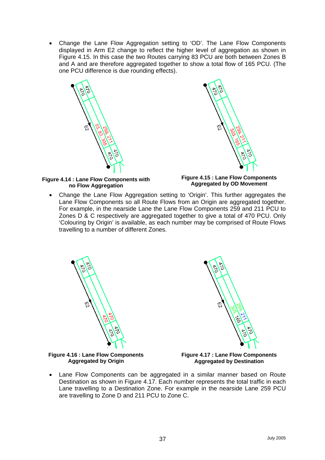• Change the Lane Flow Aggregation setting to 'OD'. The Lane Flow Components displayed in Arm E2 change to reflect the higher level of aggregation as shown in Figure 4.15. In this case the two Routes carrying 83 PCU are both between Zones B and A and are therefore aggregated together to show a total flow of 165 PCU. (The one PCU difference is due rounding effects).





**Figure 4.14 : Lane Flow Components with no Flow Aggregation** 

**Figure 4.15 : Lane Flow Components Aggregated by OD Movement** 

• Change the Lane Flow Aggregation setting to 'Origin'. This further aggregates the Lane Flow Components so all Route Flows from an Origin are aggregated together. For example, in the nearside Lane the Lane Flow Components 259 and 211 PCU to Zones D & C respectively are aggregated together to give a total of 470 PCU. Only 'Colouring by Origin' is available, as each number may be comprised of Route Flows travelling to a number of different Zones.





**Figure 4.16 : Lane Flow Components Aggregated by Origin** 

**Figure 4.17 : Lane Flow Components Aggregated by Destination**

• Lane Flow Components can be aggregated in a similar manner based on Route Destination as shown in Figure 4.17. Each number represents the total traffic in each Lane travelling to a Destination Zone. For example in the nearside Lane 259 PCU are travelling to Zone D and 211 PCU to Zone C.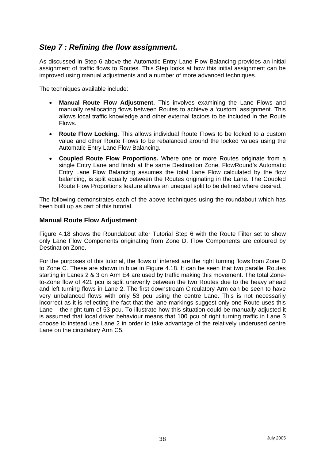# <span id="page-40-0"></span>*Step 7 : Refining the flow assignment.*

As discussed in Step 6 above the Automatic Entry Lane Flow Balancing provides an initial assignment of traffic flows to Routes. This Step looks at how this initial assignment can be improved using manual adjustments and a number of more advanced techniques.

The techniques available include:

- **Manual Route Flow Adjustment.** This involves examining the Lane Flows and manually reallocating flows between Routes to achieve a 'custom' assignment. This allows local traffic knowledge and other external factors to be included in the Route Flows.
- **Route Flow Locking.** This allows individual Route Flows to be locked to a custom value and other Route Flows to be rebalanced around the locked values using the Automatic Entry Lane Flow Balancing.
- **Coupled Route Flow Proportions.** Where one or more Routes originate from a single Entry Lane and finish at the same Destination Zone, FlowRound's Automatic Entry Lane Flow Balancing assumes the total Lane Flow calculated by the flow balancing, is split equally between the Routes originating in the Lane. The Coupled Route Flow Proportions feature allows an unequal split to be defined where desired.

The following demonstrates each of the above techniques using the roundabout which has been built up as part of this tutorial.

#### **Manual Route Flow Adjustment**

Figure 4.18 shows the Roundabout after Tutorial Step 6 with the Route Filter set to show only Lane Flow Components originating from Zone D. Flow Components are coloured by Destination Zone.

For the purposes of this tutorial, the flows of interest are the right turning flows from Zone D to Zone C. These are shown in blue in Figure 4.18. It can be seen that two parallel Routes starting in Lanes 2 & 3 on Arm E4 are used by traffic making this movement. The total Zoneto-Zone flow of 421 pcu is split unevenly between the two Routes due to the heavy ahead and left turning flows in Lane 2. The first downstream Circulatory Arm can be seen to have very unbalanced flows with only 53 pcu using the centre Lane. This is not necessarily incorrect as it is reflecting the fact that the lane markings suggest only one Route uses this Lane – the right turn of 53 pcu. To illustrate how this situation could be manually adjusted it is assumed that local driver behaviour means that 100 pcu of right turning traffic in Lane 3 choose to instead use Lane 2 in order to take advantage of the relatively underused centre Lane on the circulatory Arm C5.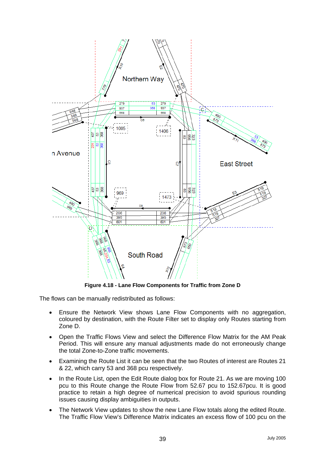

**Figure 4.18 - Lane Flow Components for Traffic from Zone D** 

The flows can be manually redistributed as follows:

- Ensure the Network View shows Lane Flow Components with no aggregation, coloured by destination, with the Route Filter set to display only Routes starting from Zone D.
- Open the Traffic Flows View and select the Difference Flow Matrix for the AM Peak Period. This will ensure any manual adjustments made do not erroneously change the total Zone-to-Zone traffic movements.
- Examining the Route List it can be seen that the two Routes of interest are Routes 21 & 22, which carry 53 and 368 pcu respectively.
- In the Route List, open the Edit Route dialog box for Route 21. As we are moving 100 pcu to this Route change the Route Flow from 52.67 pcu to 152.67pcu. It is good practice to retain a high degree of numerical precision to avoid spurious rounding issues causing display ambiguities in outputs.
- The Network View updates to show the new Lane Flow totals along the edited Route. The Traffic Flow View's Difference Matrix indicates an excess flow of 100 pcu on the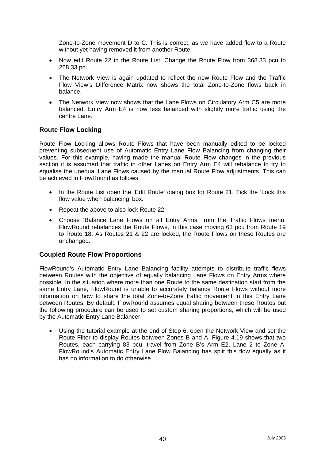<span id="page-42-0"></span>Zone-to-Zone movement D to C. This is correct, as we have added flow to a Route without yet having removed it from another Route.

- Now edit Route 22 in the Route List. Change the Route Flow from 368.33 pcu to 268.33 pcu.
- The Network View is again updated to reflect the new Route Flow and the Traffic Flow View's Difference Matrix now shows the total Zone-to-Zone flows back in balance.
- The Network View now shows that the Lane Flows on Circulatory Arm C5 are more balanced. Entry Arm E4 is now less balanced with slightly more traffic using the centre Lane.

#### **Route Flow Locking**

Route Flow Locking allows Route Flows that have been manually edited to be locked preventing subsequent use of Automatic Entry Lane Flow Balancing from changing their values. For this example, having made the manual Route Flow changes in the previous section it is assumed that traffic in other Lanes on Entry Arm E4 will rebalance to try to equalise the unequal Lane Flows caused by the manual Route Flow adjustments. This can be achieved in FlowRound as follows:

- In the Route List open the 'Edit Route' dialog box for Route 21. Tick the 'Lock this flow value when balancing' box.
- Repeat the above to also lock Route 22.
- Choose 'Balance Lane Flows on all Entry Arms' from the Traffic Flows menu. FlowRound rebalances the Route Flows, in this case moving 63 pcu from Route 19 to Route 18. As Routes 21 & 22 are locked, the Route Flows on these Routes are unchanged.

#### **Coupled Route Flow Proportions**

FlowRound's Automatic Entry Lane Balancing facility attempts to distribute traffic flows between Routes with the objective of equally balancing Lane Flows on Entry Arms where possible. In the situation where more than one Route to the same destination start from the same Entry Lane, FlowRound is unable to accurately balance Route Flows without more information on how to share the total Zone-to-Zone traffic movement in this Entry Lane between Routes. By default, FlowRound assumes equal sharing between these Routes but the following procedure can be used to set custom sharing proportions, which will be used by the Automatic Entry Lane Balancer.

Using the tutorial example at the end of Step 6, open the Network View and set the Route Filter to display Routes between Zones B and A. Figure 4.19 shows that two Routes, each carrying 83 pcu, travel from Zone B's Arm E2, Lane 2 to Zone A. FlowRound's Automatic Entry Lane Flow Balancing has split this flow equally as it has no information to do otherwise.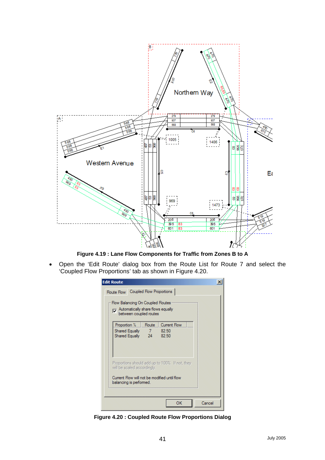

**Figure 4.19 : Lane Flow Components for Traffic from Zones B to A** 

• Open the 'Edit Route' dialog box from the Route List for Route 7 and select the 'Coupled Flow Proportions' tab as shown in Figure 4.20.

| <b>Edit Route</b><br>Route Flow Coupled Flow Proportions                                         |              |                                                 |  |
|--------------------------------------------------------------------------------------------------|--------------|-------------------------------------------------|--|
| Flow Balancing On Coupled Routes<br>Multimatically share flows equally<br>between coupled routes |              |                                                 |  |
| Proportion %<br>Shared Equally<br>Shared Equally 24                                              | Route<br>878 | <b>Current Flow</b><br>82.50<br>82.50           |  |
| will be scaled accordingly.                                                                      |              | Proportions should add up to 100%. If not, they |  |
| Current Flow will not be modified until flow<br>balancing is performed.                          |              |                                                 |  |

**Figure 4.20 : Coupled Route Flow Proportions Dialog**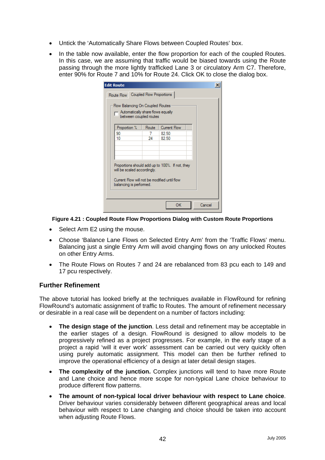- <span id="page-44-0"></span>• Untick the 'Automatically Share Flows between Coupled Routes' box.
- In the table now available, enter the flow proportion for each of the coupled Routes. In this case, we are assuming that traffic would be biased towards using the Route passing through the more lightly trafficked Lane 3 or circulatory Arm C7. Therefore, enter 90% for Route 7 and 10% for Route 24. Click OK to close the dialog box.

| <b>Edit Route</b>                                                     |                                                                                                                                |                |        |  |  |  |
|-----------------------------------------------------------------------|--------------------------------------------------------------------------------------------------------------------------------|----------------|--------|--|--|--|
| Route Flow Coupled Flow Proportions                                   |                                                                                                                                |                |        |  |  |  |
| Flow Balancing On Coupled Routes<br>Automatically share flows equally | between coupled routes                                                                                                         |                |        |  |  |  |
| Proportion %                                                          | Route                                                                                                                          | Current Flow   |        |  |  |  |
| 90<br>10                                                              | 7<br>24                                                                                                                        | 82.50<br>82.50 |        |  |  |  |
|                                                                       |                                                                                                                                |                |        |  |  |  |
|                                                                       |                                                                                                                                |                |        |  |  |  |
|                                                                       | Proportions should add up to 100%. If not, they<br>will be scaled accordingly.<br>Current Flow will not be modified until flow |                |        |  |  |  |
| balancing is performed.                                               |                                                                                                                                |                |        |  |  |  |
|                                                                       |                                                                                                                                | ОК             | Cancel |  |  |  |

**Figure 4.21 : Coupled Route Flow Proportions Dialog with Custom Route Proportions** 

- Select Arm E2 using the mouse.
- Choose 'Balance Lane Flows on Selected Entry Arm' from the 'Traffic Flows' menu. Balancing just a single Entry Arm will avoid changing flows on any unlocked Routes on other Entry Arms.
- The Route Flows on Routes 7 and 24 are rebalanced from 83 pcu each to 149 and 17 pcu respectively.

#### **Further Refinement**

The above tutorial has looked briefly at the techniques available in FlowRound for refining FlowRound's automatic assignment of traffic to Routes. The amount of refinement necessary or desirable in a real case will be dependent on a number of factors including:

- **The design stage of the junction**. Less detail and refinement may be acceptable in the earlier stages of a design. FlowRound is designed to allow models to be progressively refined as a project progresses. For example, in the early stage of a project a rapid 'will it ever work' assessment can be carried out very quickly often using purely automatic assignment. This model can then be further refined to improve the operational efficiency of a design at later detail design stages.
- **The complexity of the junction.** Complex junctions will tend to have more Route and Lane choice and hence more scope for non-typical Lane choice behaviour to produce different flow patterns.
- **The amount of non-typical local driver behaviour with respect to Lane choice**. Driver behaviour varies considerably between different geographical areas and local behaviour with respect to Lane changing and choice should be taken into account when adjusting Route Flows.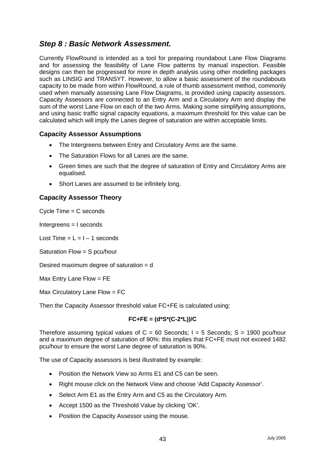# <span id="page-45-0"></span>*Step 8 : Basic Network Assessment.*

Currently FlowRound is intended as a tool for preparing roundabout Lane Flow Diagrams and for assessing the feasibility of Lane Flow patterns by manual inspection. Feasible designs can then be progressed for more in depth analysis using other modelling packages such as LINSIG and TRANSYT. However, to allow a basic assessment of the roundabouts capacity to be made from within FlowRound, a rule of thumb assessment method, commonly used when manually assessing Lane Flow Diagrams, is provided using capacity assessors. Capacity Assessors are connected to an Entry Arm and a Circulatory Arm and display the sum of the worst Lane Flow on each of the two Arms. Making some simplifying assumptions, and using basic traffic signal capacity equations, a maximum threshold for this value can be calculated which will imply the Lanes degree of saturation are within acceptable limits.

### **Capacity Assessor Assumptions**

- The Intergreens between Entry and Circulatory Arms are the same.
- The Saturation Flows for all Lanes are the same.
- Green times are such that the degree of saturation of Entry and Circulatory Arms are equalised.
- Short Lanes are assumed to be infinitely long.

### **Capacity Assessor Theory**

Cycle Time = C seconds

Intergreens = I seconds

Lost Time  $= L = 1 - 1$  seconds

Saturation Flow = S pcu/hour

Desired maximum degree of saturation = d

Max Entry Lane Flow = FE

Max Circulatory Lane Flow = FC

Then the Capacity Assessor threshold value FC+FE is calculated using:

#### **FC+FE = (d\*S\*(C-2\*L))/C**

Therefore assuming typical values of  $C = 60$  Seconds:  $I = 5$  Seconds:  $S = 1900$  pcu/hour and a maximum degree of saturation of 90%: this implies that FC+FE must not exceed 1482 pcu/hour to ensure the worst Lane degree of saturation is 90%.

The use of Capacity assessors is best illustrated by example:

- Position the Network View so Arms E1 and C5 can be seen.
- Right mouse click on the Network View and choose 'Add Capacity Assessor'.
- Select Arm E1 as the Entry Arm and C5 as the Circulatory Arm.
- Accept 1500 as the Threshold Value by clicking 'OK'.
- Position the Capacity Assessor using the mouse.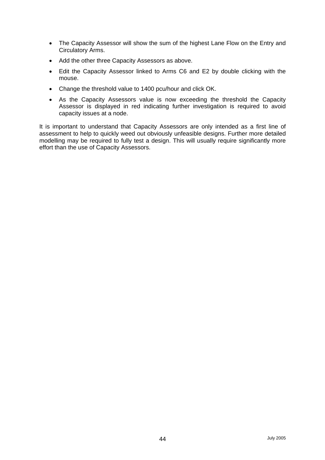- The Capacity Assessor will show the sum of the highest Lane Flow on the Entry and Circulatory Arms.
- Add the other three Capacity Assessors as above.
- Edit the Capacity Assessor linked to Arms C6 and E2 by double clicking with the mouse.
- Change the threshold value to 1400 pcu/hour and click OK.
- As the Capacity Assessors value is now exceeding the threshold the Capacity Assessor is displayed in red indicating further investigation is required to avoid capacity issues at a node.

It is important to understand that Capacity Assessors are only intended as a first line of assessment to help to quickly weed out obviously unfeasible designs. Further more detailed modelling may be required to fully test a design. This will usually require significantly more effort than the use of Capacity Assessors.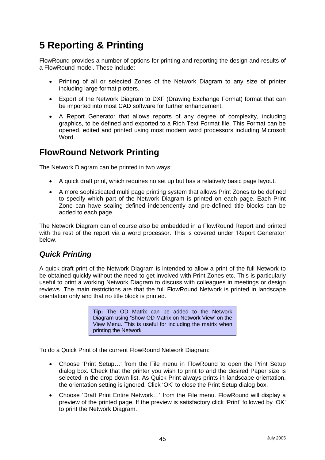# <span id="page-47-0"></span>**5 Reporting & Printing**

FlowRound provides a number of options for printing and reporting the design and results of a FlowRound model. These include:

- Printing of all or selected Zones of the Network Diagram to any size of printer including large format plotters.
- Export of the Network Diagram to DXF (Drawing Exchange Format) format that can be imported into most CAD software for further enhancement.
- A Report Generator that allows reports of any degree of complexity, including graphics, to be defined and exported to a Rich Text Format file. This Format can be opened, edited and printed using most modern word processors including Microsoft Word.

# **FlowRound Network Printing**

The Network Diagram can be printed in two ways:

- A quick draft print, which requires no set up but has a relatively basic page layout.
- A more sophisticated multi page printing system that allows Print Zones to be defined to specify which part of the Network Diagram is printed on each page. Each Print Zone can have scaling defined independently and pre-defined title blocks can be added to each page.

The Network Diagram can of course also be embedded in a FlowRound Report and printed with the rest of the report via a word processor. This is covered under 'Report Generator' below.

### *Quick Printing*

A quick draft print of the Network Diagram is intended to allow a print of the full Network to be obtained quickly without the need to get involved with Print Zones etc. This is particularly useful to print a working Network Diagram to discuss with colleagues in meetings or design reviews. The main restrictions are that the full FlowRound Network is printed in landscape orientation only and that no title block is printed.

> **Tip:** The OD Matrix can be added to the Network Diagram using 'Show OD Matrix on Network View' on the View Menu. This is useful for including the matrix when printing the Network

To do a Quick Print of the current FlowRound Network Diagram:

- Choose 'Print Setup…' from the File menu in FlowRound to open the Print Setup dialog box. Check that the printer you wish to print to and the desired Paper size is selected in the drop down list. As Quick Print always prints in landscape orientation, the orientation setting is ignored. Click 'OK' to close the Print Setup dialog box.
- Choose 'Draft Print Entire Network…' from the File menu. FlowRound will display a preview of the printed page. If the preview is satisfactory click 'Print' followed by 'OK' to print the Network Diagram.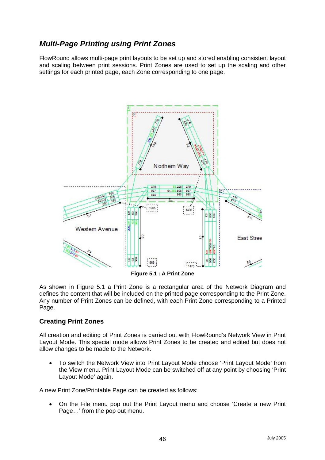# <span id="page-48-0"></span>*Multi-Page Printing using Print Zones*

FlowRound allows multi-page print layouts to be set up and stored enabling consistent layout and scaling between print sessions. Print Zones are used to set up the scaling and other settings for each printed page, each Zone corresponding to one page.



**Figure 5.1 : A Print Zone**

As shown in Figure 5.1 a Print Zone is a rectangular area of the Network Diagram and defines the content that will be included on the printed page corresponding to the Print Zone. Any number of Print Zones can be defined, with each Print Zone corresponding to a Printed Page.

#### **Creating Print Zones**

All creation and editing of Print Zones is carried out with FlowRound's Network View in Print Layout Mode. This special mode allows Print Zones to be created and edited but does not allow changes to be made to the Network.

• To switch the Network View into Print Layout Mode choose 'Print Layout Mode' from the View menu. Print Layout Mode can be switched off at any point by choosing 'Print Layout Mode' again.

A new Print Zone/Printable Page can be created as follows:

• On the File menu pop out the Print Layout menu and choose 'Create a new Print Page…' from the pop out menu.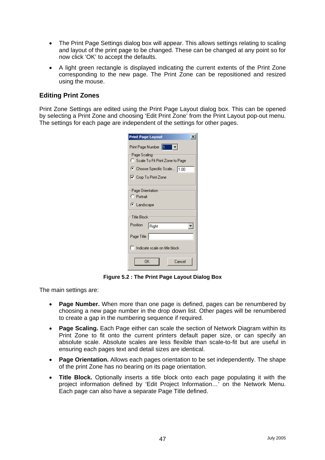- <span id="page-49-0"></span>• The Print Page Settings dialog box will appear. This allows settings relating to scaling and layout of the print page to be changed. These can be changed at any point so for now click 'OK' to accept the defaults.
- A light green rectangle is displayed indicating the current extents of the Print Zone corresponding to the new page. The Print Zone can be repositioned and resized using the mouse.

#### **Editing Print Zones**

Print Zone Settings are edited using the Print Page Layout dialog box. This can be opened by selecting a Print Zone and choosing 'Edit Print Zone' from the Print Layout pop-out menu. The settings for each page are independent of the settings for other pages.

| $\overline{\mathbf{x}}$<br><b>Print Page Layout</b> |  |  |  |  |
|-----------------------------------------------------|--|--|--|--|
| Print Page Number 1 1 1                             |  |  |  |  |
| Page Scaling                                        |  |  |  |  |
| C Scale To Fit Print Zone to Page                   |  |  |  |  |
| C Choose Specific Scale 1.00                        |  |  |  |  |
| <b>▽</b> Crop To Print Zone                         |  |  |  |  |
| Page Orientation                                    |  |  |  |  |
| C Portrait                                          |  |  |  |  |
| ⊕ Landscape                                         |  |  |  |  |
| Title Block:                                        |  |  |  |  |
| Position<br>Right                                   |  |  |  |  |
| Page Title                                          |  |  |  |  |
| Indicate scale on title block                       |  |  |  |  |
| OK<br>Cancel                                        |  |  |  |  |

**Figure 5.2 : The Print Page Layout Dialog Box** 

The main settings are:

- **Page Number.** When more than one page is defined, pages can be renumbered by choosing a new page number in the drop down list. Other pages will be renumbered to create a gap in the numbering sequence if required.
- **Page Scaling.** Each Page either can scale the section of Network Diagram within its Print Zone to fit onto the current printers default paper size, or can specify an absolute scale. Absolute scales are less flexible than scale-to-fit but are useful in ensuring each pages text and detail sizes are identical.
- **Page Orientation.** Allows each pages orientation to be set independently. The shape of the print Zone has no bearing on its page orientation.
- **Title Block.** Optionally inserts a title block onto each page populating it with the project information defined by 'Edit Project Information…' on the Network Menu. Each page can also have a separate Page Title defined.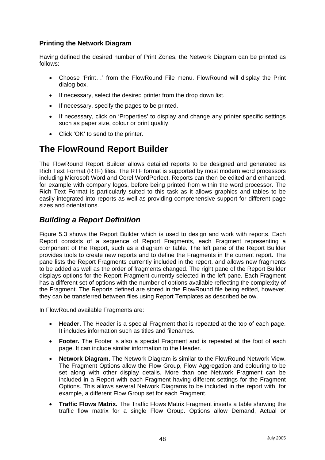### <span id="page-50-0"></span>**Printing the Network Diagram**

Having defined the desired number of Print Zones, the Network Diagram can be printed as follows:

- Choose 'Print…' from the FlowRound File menu. FlowRound will display the Print dialog box.
- If necessary, select the desired printer from the drop down list.
- If necessary, specify the pages to be printed.
- If necessary, click on 'Properties' to display and change any printer specific settings such as paper size, colour or print quality.
- Click 'OK' to send to the printer.

# **The FlowRound Report Builder**

The FlowRound Report Builder allows detailed reports to be designed and generated as Rich Text Format (RTF) files. The RTF format is supported by most modern word processors including Microsoft Word and Corel WordPerfect. Reports can then be edited and enhanced, for example with company logos, before being printed from within the word processor. The Rich Text Format is particularly suited to this task as it allows graphics and tables to be easily integrated into reports as well as providing comprehensive support for different page sizes and orientations.

# *Building a Report Definition*

Figure 5.3 shows the Report Builder which is used to design and work with reports. Each Report consists of a sequence of Report Fragments, each Fragment representing a component of the Report, such as a diagram or table. The left pane of the Report Builder provides tools to create new reports and to define the Fragments in the current report. The pane lists the Report Fragments currently included in the report, and allows new fragments to be added as well as the order of fragments changed. The right pane of the Report Builder displays options for the Report Fragment currently selected in the left pane. Each Fragment has a different set of options with the number of options available reflecting the complexity of the Fragment. The Reports defined are stored in the FlowRound file being edited, however, they can be transferred between files using Report Templates as described below.

In FlowRound available Fragments are:

- **Header.** The Header is a special Fragment that is repeated at the top of each page. It includes information such as titles and filenames.
- **Footer.** The Footer is also a special Fragment and is repeated at the foot of each page. It can include similar information to the Header.
- **Network Diagram.** The Network Diagram is similar to the FlowRound Network View. The Fragment Options allow the Flow Group, Flow Aggregation and colouring to be set along with other display details. More than one Network Fragment can be included in a Report with each Fragment having different settings for the Fragment Options. This allows several Network Diagrams to be included in the report with, for example, a different Flow Group set for each Fragment.
- **Traffic Flows Matrix.** The Traffic Flows Matrix Fragment inserts a table showing the traffic flow matrix for a single Flow Group. Options allow Demand, Actual or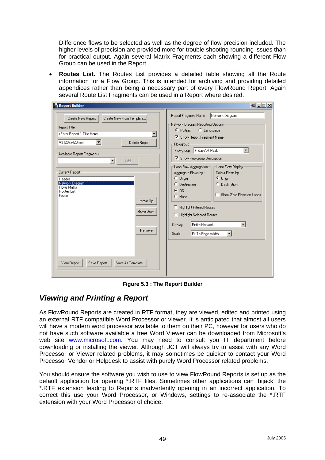<span id="page-51-0"></span>Difference flows to be selected as well as the degree of flow precision included. The higher levels of precision are provided more for trouble shooting rounding issues than for practical output. Again several Matrix Fragments each showing a different Flow Group can be used in the Report.

• **Routes List.** The Routes List provides a detailed table showing all the Route information for a Flow Group. This is intended for archiving and providing detailed appendices rather than being a necessary part of every FlowRound Report. Again several Route List Fragments can be used in a Report where desired.

| Report Builder                                                                                                                                                                                                                                                                                                                                                                                                                                           | $-14$ $-11$ $\times$                                                                                                                                                                                                                                                                                                                                                                                                                                                                                                                                                                                                                              |
|----------------------------------------------------------------------------------------------------------------------------------------------------------------------------------------------------------------------------------------------------------------------------------------------------------------------------------------------------------------------------------------------------------------------------------------------------------|---------------------------------------------------------------------------------------------------------------------------------------------------------------------------------------------------------------------------------------------------------------------------------------------------------------------------------------------------------------------------------------------------------------------------------------------------------------------------------------------------------------------------------------------------------------------------------------------------------------------------------------------------|
| Create New Report<br>Create New From Template<br><b>Report Title</b><br><enter 1="" here="" report="" title=""><br/>A3 (297x420mm)<br/>Delete Report<br/>Available Report Fragments:<br/><math display="inline">\blacktriangledown</math><br/>Add<br/>Current Report<br/>Header<br/>Network Diagram<br/>Flows Matrix<br/><b>Routes List</b><br/>Footer<br/>Move Up<br/>Move Down<br/>Remove<br/>View Report<br/>Save Report<br/>Save As Template</enter> | Network Diagram<br>Report Fragment Name<br>Network Diagram Reporting Options:<br>C Portrait<br>C Landscape<br>□ Show Report Fragment Name<br>Flowgroup<br>Friday AM Peak<br>$\blacktriangledown$<br>Flowgroup<br><b>▽</b> Show Flowgroup Description<br>Lane Flow Aggregation<br>Lane Flow Display<br>Aggregate Flows by:<br>Colour Flows by:<br>C Origin<br>C Origin<br>C Destination<br><b>Destination</b><br>$\subset$ OD<br>□ Show Zero Flows on Lanes<br>$\bigcirc$ None<br><b>Highlight Filtered Routes</b><br><b>Highlight Selected Routes</b><br>п<br>Entire Network<br>Display<br>Fit To Page Width<br>Scale<br>$\overline{\phantom{a}}$ |

**Figure 5.3 : The Report Builder** 

# *Viewing and Printing a Report*

As FlowRound Reports are created in RTF format, they are viewed, edited and printed using an external RTF compatible Word Processor or viewer. It is anticipated that almost all users will have a modern word processor available to them on their PC, however for users who do not have such software available a free Word Viewer can be downloaded from Microsoft's web site [www.microsoft.com](http://www.microsoft.com/). You may need to consult you IT department before downloading or installing the viewer. Although JCT will always try to assist with any Word Processor or Viewer related problems, it may sometimes be quicker to contact your Word Processor Vendor or Helpdesk to assist with purely Word Processor related problems.

You should ensure the software you wish to use to view FlowRound Reports is set up as the default application for opening \*.RTF files. Sometimes other applications can 'hijack' the \*.RTF extension leading to Reports inadvertently opening in an incorrect application. To correct this use your Word Processor, or Windows, settings to re-associate the \*.RTF extension with your Word Processor of choice.